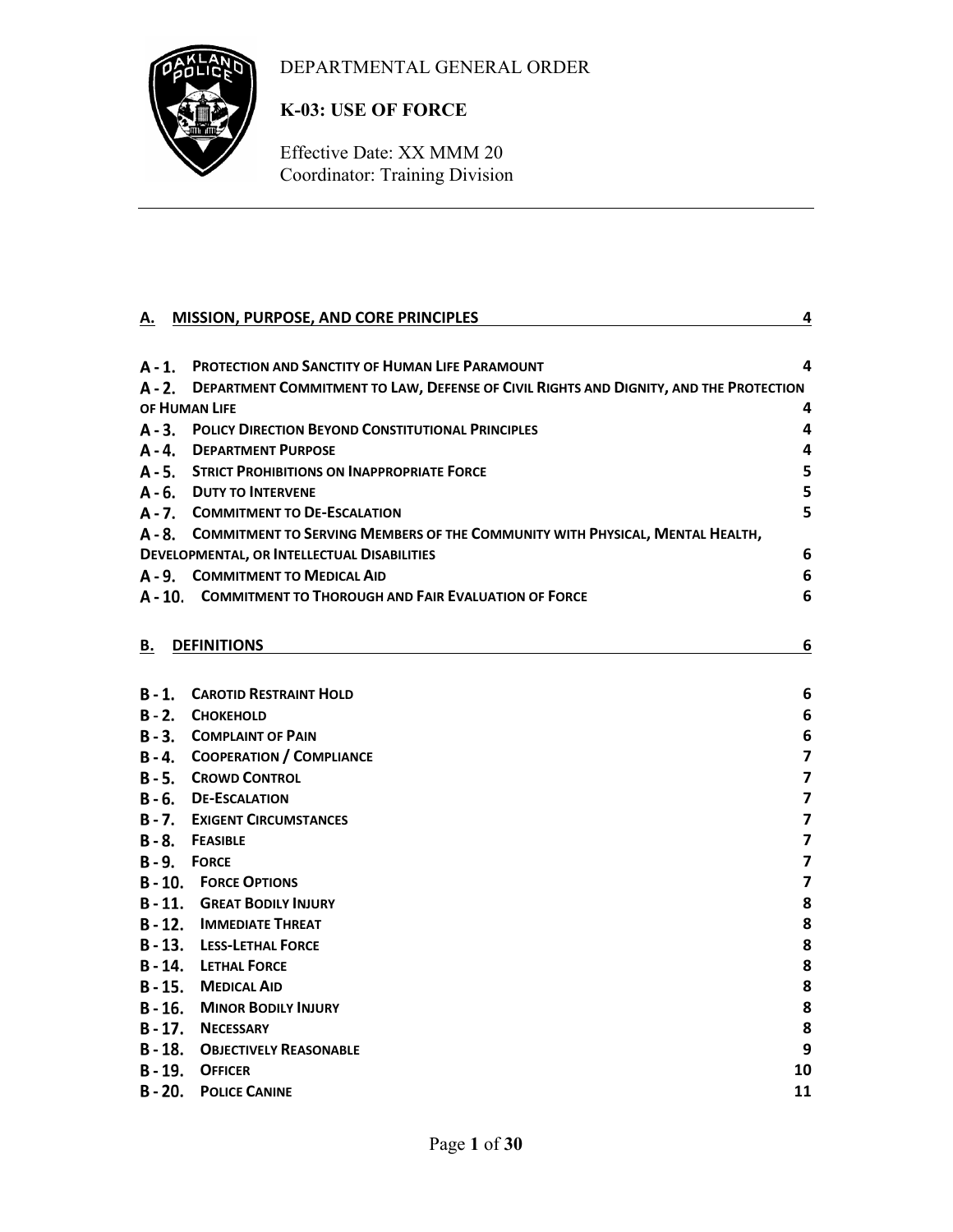# DEPARTMENTAL GENERAL ORDER



# **K-03: USE OF FORCE**

Effective Date: XX MMM 20 Coordinator: Training Division

| Α. | <b>MISSION, PURPOSE, AND CORE PRINCIPLES</b>                                                 | 4                       |
|----|----------------------------------------------------------------------------------------------|-------------------------|
|    |                                                                                              |                         |
|    | A - 1. PROTECTION AND SANCTITY OF HUMAN LIFE PARAMOUNT                                       | 4                       |
|    | A - 2. DEPARTMENT COMMITMENT TO LAW, DEFENSE OF CIVIL RIGHTS AND DIGNITY, AND THE PROTECTION |                         |
|    | OF HUMAN LIFE                                                                                | 4                       |
|    | A - 3. POLICY DIRECTION BEYOND CONSTITUTIONAL PRINCIPLES                                     | 4                       |
|    | A - 4. DEPARTMENT PURPOSE                                                                    | 4                       |
|    | A - 5. STRICT PROHIBITIONS ON INAPPROPRIATE FORCE                                            | 5                       |
|    | A - 6. DUTY TO INTERVENE                                                                     | 5                       |
|    | A - 7. COMMITMENT TO DE-ESCALATION                                                           | 5                       |
|    | A - 8. COMMITMENT TO SERVING MEMBERS OF THE COMMUNITY WITH PHYSICAL, MENTAL HEALTH,          |                         |
|    | DEVELOPMENTAL, OR INTELLECTUAL DISABILITIES                                                  | 6                       |
|    | A - 9. COMMITMENT TO MEDICAL AID                                                             | 6                       |
|    | A - 10. COMMITMENT TO THOROUGH AND FAIR EVALUATION OF FORCE                                  | 6                       |
|    |                                                                                              |                         |
| В. | <b>DEFINITIONS</b>                                                                           | 6                       |
|    |                                                                                              |                         |
|    | <b>B-1. CAROTID RESTRAINT HOLD</b>                                                           | 6                       |
|    | B-2. CHOKEHOLD                                                                               | 6                       |
|    | <b>B-3. COMPLAINT OF PAIN</b>                                                                | 6                       |
|    | <b>B-4. COOPERATION / COMPLIANCE</b>                                                         | $\overline{\mathbf{z}}$ |
|    | <b>B-5. CROWD CONTROL</b>                                                                    | $\overline{\mathbf{z}}$ |
|    | B-6. DE-ESCALATION                                                                           | $\overline{\mathbf{z}}$ |
|    | <b>B-7. EXIGENT CIRCUMSTANCES</b>                                                            | $\overline{\mathbf{z}}$ |
|    | <b>B-8. FEASIBLE</b>                                                                         | $\overline{\mathbf{z}}$ |
|    | B-9. FORCE                                                                                   | $\overline{\mathbf{z}}$ |
|    | <b>B-10. FORCE OPTIONS</b>                                                                   | $\overline{\mathbf{z}}$ |
|    | <b>B-11. GREAT BODILY INJURY</b>                                                             | 8                       |
|    | <b>B-12. IMMEDIATE THREAT</b>                                                                | 8                       |
|    | <b>B-13. LESS-LETHAL FORCE</b>                                                               | 8                       |
|    | <b>B-14. LETHAL FORCE</b>                                                                    | 8                       |
|    | <b>B-15. MEDICAL AID</b>                                                                     | 8                       |
|    | <b>B-16. MINOR BODILY INJURY</b>                                                             | 8                       |
|    | B-17. NECESSARY                                                                              | 8                       |
|    | <b>B-18. OBJECTIVELY REASONABLE</b>                                                          | 9                       |
|    | B-19. OFFICER                                                                                | 10                      |
|    | <b>B-20. POLICE CANINE</b>                                                                   | 11                      |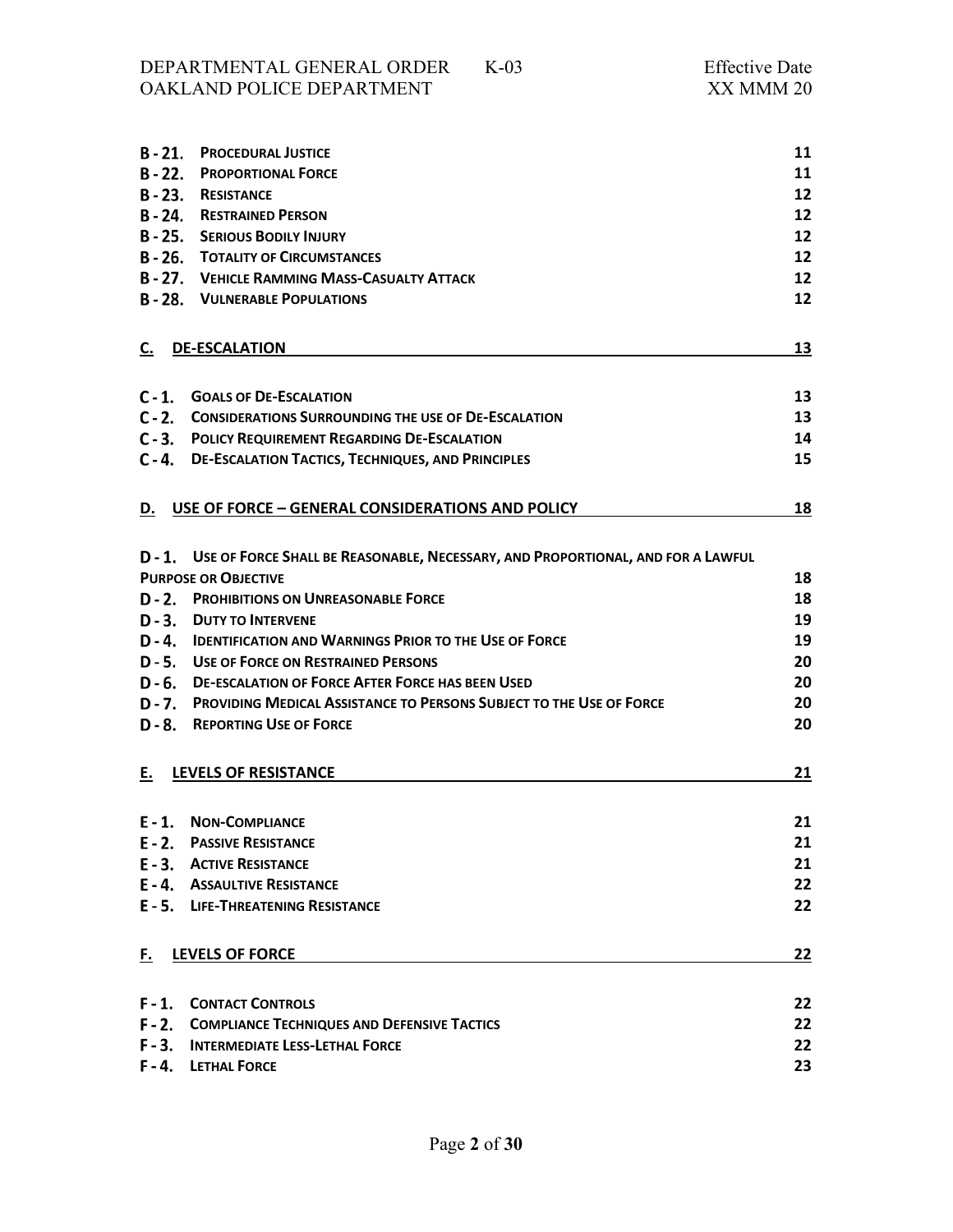| $B - 21.$ | <b>PROCEDURAL JUSTICE</b>                                                              | 11              |
|-----------|----------------------------------------------------------------------------------------|-----------------|
| $B - 22.$ | <b>PROPORTIONAL FORCE</b>                                                              | 11              |
|           | <b>B-23. RESISTANCE</b>                                                                | 12              |
|           | <b>B-24. RESTRAINED PERSON</b>                                                         | 12              |
|           | <b>B-25. SERIOUS BODILY INJURY</b>                                                     | 12              |
|           | <b>B-26. TOTALITY OF CIRCUMSTANCES</b>                                                 | 12              |
|           | <b>B-27. VEHICLE RAMMING MASS-CASUALTY ATTACK</b>                                      | 12 <sup>2</sup> |
|           | <b>B-28. VULNERABLE POPULATIONS</b>                                                    | 12              |
|           |                                                                                        |                 |
| C.        | <b>DE-ESCALATION</b>                                                                   | 13              |
|           |                                                                                        |                 |
|           | C-1. GOALS OF DE-ESCALATION                                                            | 13              |
|           | C-2. CONSIDERATIONS SURROUNDING THE USE OF DE-ESCALATION                               | 13              |
|           | <b>C-3. POLICY REQUIREMENT REGARDING DE-ESCALATION</b>                                 | 14              |
|           | C-4. DE-ESCALATION TACTICS, TECHNIQUES, AND PRINCIPLES                                 | 15              |
| D.        | USE OF FORCE - GENERAL CONSIDERATIONS AND POLICY                                       | 18              |
|           |                                                                                        |                 |
|           | D - 1. USE OF FORCE SHALL BE REASONABLE, NECESSARY, AND PROPORTIONAL, AND FOR A LAWFUL |                 |
|           | <b>PURPOSE OR OBJECTIVE</b>                                                            | 18              |
|           | <b>D - 2. PROHIBITIONS ON UNREASONABLE FORCE</b>                                       | 18              |
|           | <b>D-3. DUTY TO INTERVENE</b>                                                          | 19              |
|           | D-4. IDENTIFICATION AND WARNINGS PRIOR TO THE USE OF FORCE                             | 19              |
|           | D - 5. USE OF FORCE ON RESTRAINED PERSONS                                              | 20              |
|           | D - 6. DE-ESCALATION OF FORCE AFTER FORCE HAS BEEN USED                                | 20              |
|           | D - 7. PROVIDING MEDICAL ASSISTANCE TO PERSONS SUBJECT TO THE USE OF FORCE             | 20              |
|           | <b>D-8. REPORTING USE OF FORCE</b>                                                     | 20              |
|           |                                                                                        |                 |
| Е.        | LEVELS OF RESISTANCE                                                                   | 21              |
|           |                                                                                        |                 |
|           | E-1. NON-COMPLIANCE                                                                    | 21              |
|           | <b>E-2. PASSIVE RESISTANCE</b>                                                         | 21              |
|           | <b>E-3. ACTIVE RESISTANCE</b>                                                          | 21              |
|           | <b>E-4. ASSAULTIVE RESISTANCE</b>                                                      | 22              |
|           | E - 5. LIFE-THREATENING RESISTANCE                                                     | 22              |
| F.        | <b>LEVELS OF FORCE</b>                                                                 | 22              |
|           |                                                                                        |                 |
|           | <b>F-1. CONTACT CONTROLS</b>                                                           | 22              |
|           | F-2. COMPLIANCE TECHNIQUES AND DEFENSIVE TACTICS                                       | 22              |
|           | F - 3. INTERMEDIATE LESS-LETHAL FORCE                                                  | 22              |
|           | F-4. LETHAL FORCE                                                                      | 23              |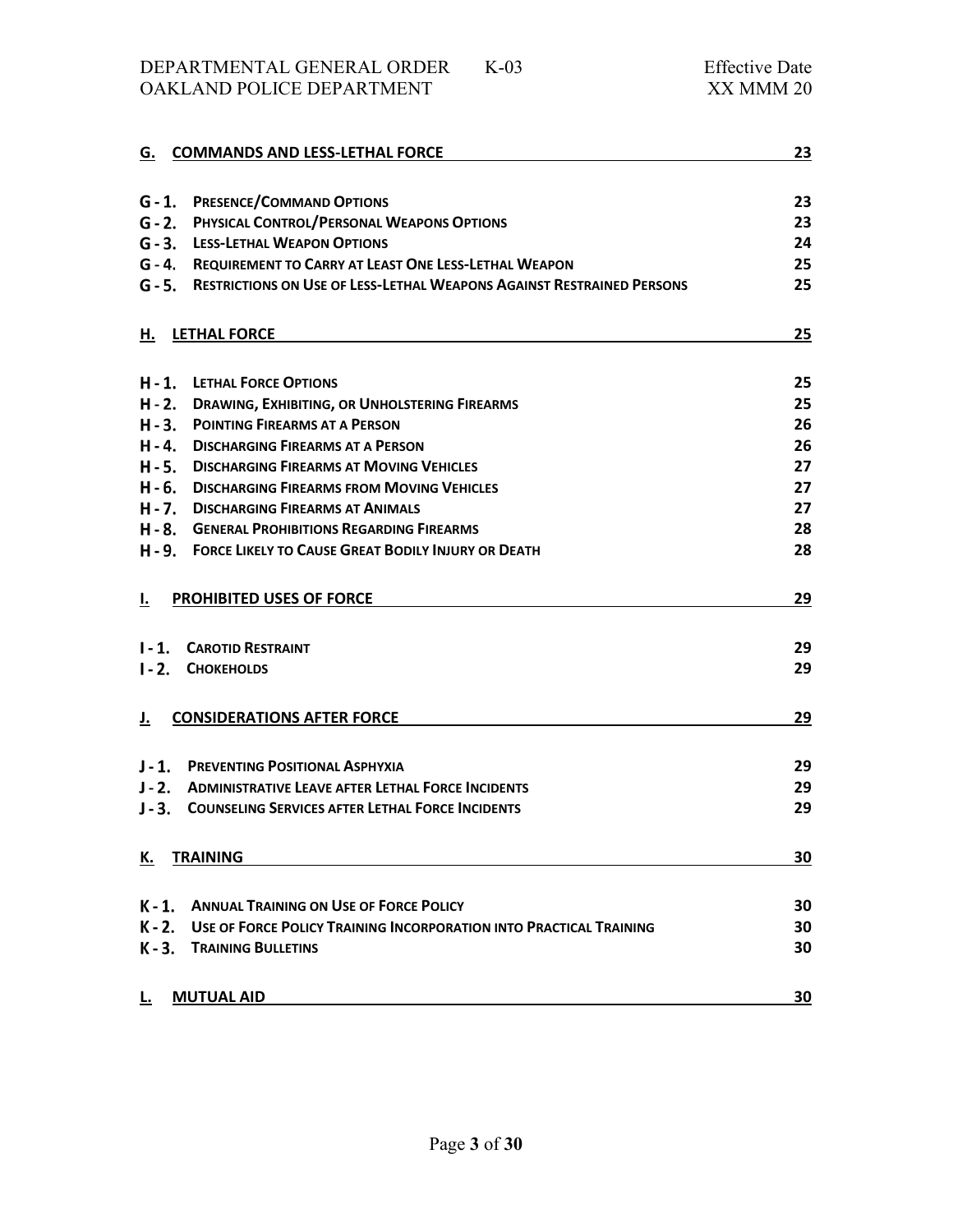DEPARTMENTAL GENERAL ORDER K-03 Effective Date OAKLAND POLICE DEPARTMENT

|           | G. COMMANDS AND LESS-LETHAL FORCE                                            | 23 |
|-----------|------------------------------------------------------------------------------|----|
|           |                                                                              |    |
|           | <b>G-1. PRESENCE/COMMAND OPTIONS</b>                                         | 23 |
|           | <b>G - 2. PHYSICAL CONTROL/PERSONAL WEAPONS OPTIONS</b>                      | 23 |
|           | <b>G - 3. LESS-LETHAL WEAPON OPTIONS</b>                                     | 24 |
|           | <b>G - 4. REQUIREMENT TO CARRY AT LEAST ONE LESS-LETHAL WEAPON</b>           | 25 |
|           | G - 5. RESTRICTIONS ON USE OF LESS-LETHAL WEAPONS AGAINST RESTRAINED PERSONS | 25 |
| н.        | <b>LETHAL FORCE</b>                                                          | 25 |
|           |                                                                              |    |
|           | H-1. LETHAL FORCE OPTIONS                                                    | 25 |
|           | H - 2. DRAWING, EXHIBITING, OR UNHOLSTERING FIREARMS                         | 25 |
|           | H - 3. POINTING FIREARMS AT A PERSON                                         | 26 |
|           | H - 4. DISCHARGING FIREARMS AT A PERSON                                      | 26 |
|           | H - 5. DISCHARGING FIREARMS AT MOVING VEHICLES                               | 27 |
|           | H - 6. DISCHARGING FIREARMS FROM MOVING VEHICLES                             | 27 |
|           | H - 7. DISCHARGING FIREARMS AT ANIMALS                                       | 27 |
|           | H - 8. GENERAL PROHIBITIONS REGARDING FIREARMS                               | 28 |
|           | H - 9. FORCE LIKELY TO CAUSE GREAT BODILY INJURY OR DEATH                    | 28 |
| I.        | PROHIBITED USES OF FORCE                                                     | 29 |
|           |                                                                              |    |
| $1 - 1$ . | <b>CAROTID RESTRAINT</b>                                                     | 29 |
| $1 - 2$ . | <b>CHOKEHOLDS</b>                                                            | 29 |
| J.        | <b>CONSIDERATIONS AFTER FORCE</b>                                            | 29 |
|           |                                                                              |    |
| $J - 1$ . | <b>PREVENTING POSITIONAL ASPHYXIA</b>                                        | 29 |
|           | J - 2. ADMINISTRATIVE LEAVE AFTER LETHAL FORCE INCIDENTS                     | 29 |
| $J - 3$ . | <b>COUNSELING SERVICES AFTER LETHAL FORCE INCIDENTS</b>                      | 29 |
| К.        | <b>TRAINING</b>                                                              | 30 |
|           |                                                                              |    |
|           | K-1. ANNUAL TRAINING ON USE OF FORCE POLICY                                  | 30 |
|           | K - 2. USE OF FORCE POLICY TRAINING INCORPORATION INTO PRACTICAL TRAINING    | 30 |
|           | K-3. TRAINING BULLETINS                                                      | 30 |
| L.        | <b>MUTUAL AID</b>                                                            | 30 |
|           |                                                                              |    |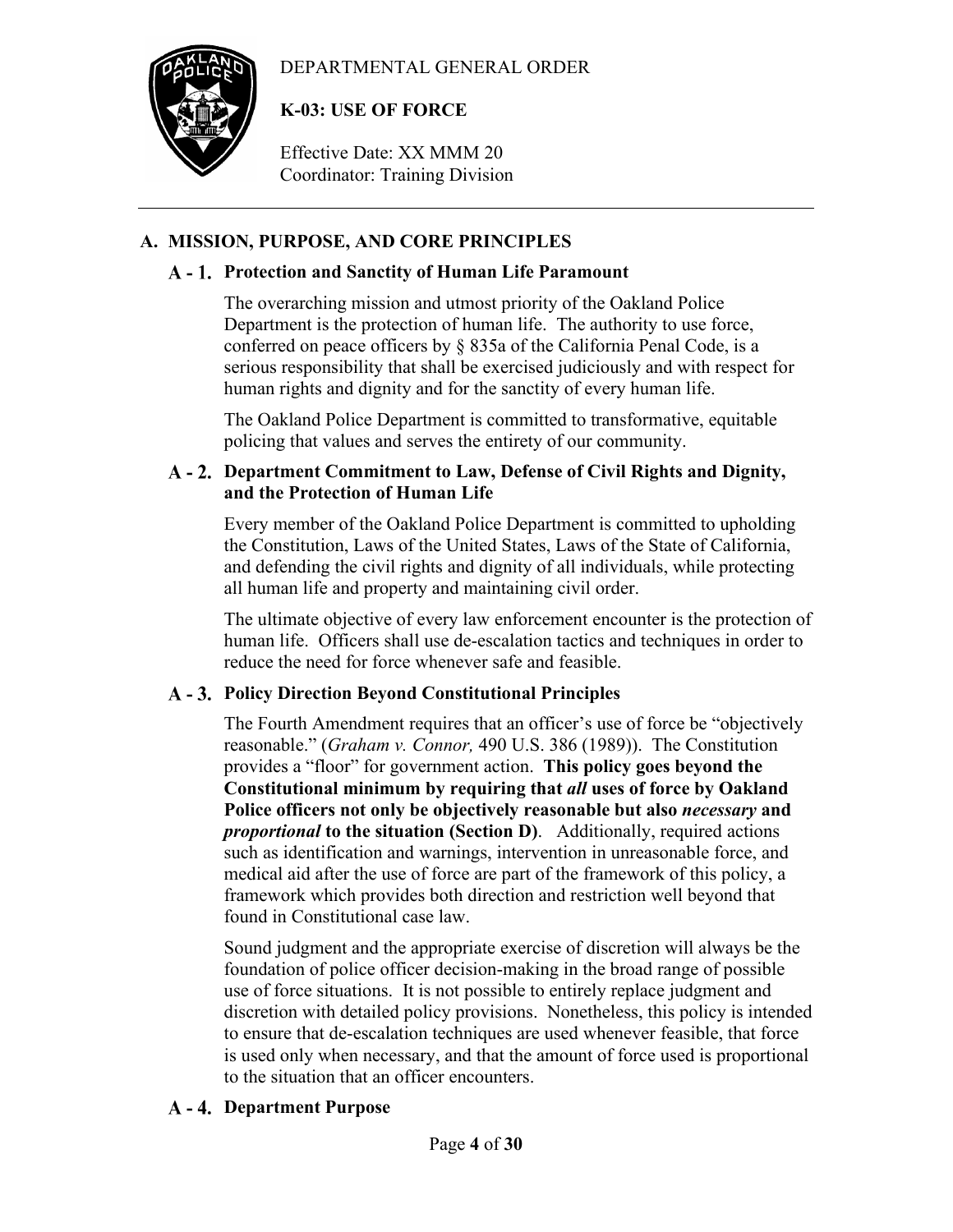# DEPARTMENTAL GENERAL ORDER



# **K-03: USE OF FORCE**

Effective Date: XX MMM 20 Coordinator: Training Division

# <span id="page-3-0"></span>**A. MISSION, PURPOSE, AND CORE PRINCIPLES**

# <span id="page-3-1"></span>**Protection and Sanctity of Human Life Paramount**

The overarching mission and utmost priority of the Oakland Police Department is the protection of human life. The authority to use force, conferred on peace officers by § 835a of the California Penal Code, is a serious responsibility that shall be exercised judiciously and with respect for human rights and dignity and for the sanctity of every human life.

The Oakland Police Department is committed to transformative, equitable policing that values and serves the entirety of our community.

# <span id="page-3-2"></span>**Department Commitment to Law, Defense of Civil Rights and Dignity, and the Protection of Human Life**

Every member of the Oakland Police Department is committed to upholding the Constitution, Laws of the United States, Laws of the State of California, and defending the civil rights and dignity of all individuals, while protecting all human life and property and maintaining civil order.

The ultimate objective of every law enforcement encounter is the protection of human life. Officers shall use de-escalation tactics and techniques in order to reduce the need for force whenever safe and feasible.

# <span id="page-3-3"></span>**Policy Direction Beyond Constitutional Principles**

The Fourth Amendment requires that an officer's use of force be "objectively reasonable." (*Graham v. Connor,* 490 U.S. 386 (1989)). The Constitution provides a "floor" for government action. **This policy goes beyond the Constitutional minimum by requiring that** *all* **uses of force by Oakland Police officers not only be objectively reasonable but also** *necessary* **and**  *proportional* **to the situation (Section D)**. Additionally, required actions such as identification and warnings, intervention in unreasonable force, and medical aid after the use of force are part of the framework of this policy, a framework which provides both direction and restriction well beyond that found in Constitutional case law.

Sound judgment and the appropriate exercise of discretion will always be the foundation of police officer decision-making in the broad range of possible use of force situations. It is not possible to entirely replace judgment and discretion with detailed policy provisions. Nonetheless, this policy is intended to ensure that de-escalation techniques are used whenever feasible, that force is used only when necessary, and that the amount of force used is proportional to the situation that an officer encounters.

# <span id="page-3-4"></span>**Department Purpose**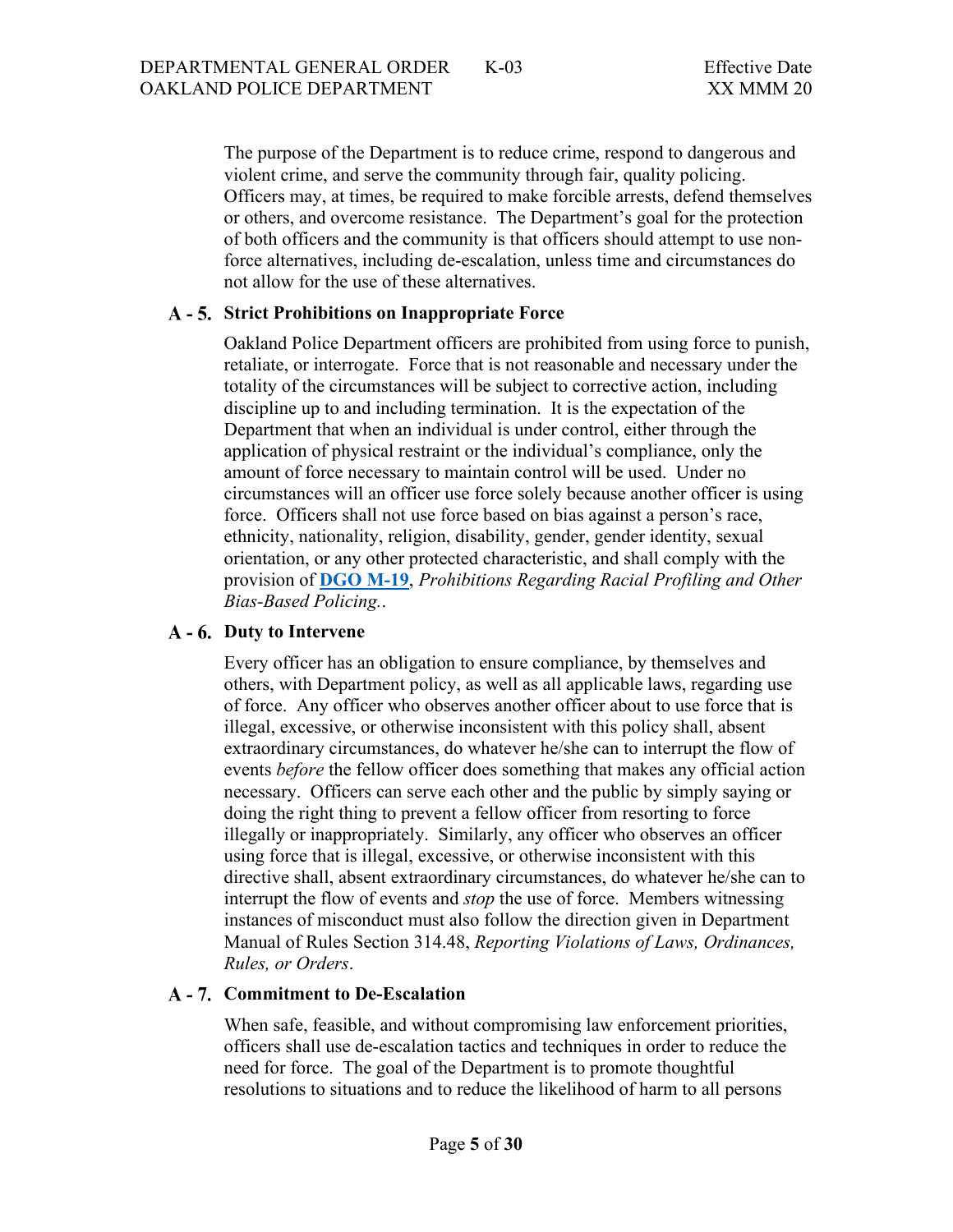The purpose of the Department is to reduce crime, respond to dangerous and violent crime, and serve the community through fair, quality policing. Officers may, at times, be required to make forcible arrests, defend themselves or others, and overcome resistance. The Department's goal for the protection of both officers and the community is that officers should attempt to use nonforce alternatives, including de-escalation, unless time and circumstances do not allow for the use of these alternatives.

### <span id="page-4-0"></span>**Strict Prohibitions on Inappropriate Force**

Oakland Police Department officers are prohibited from using force to punish, retaliate, or interrogate. Force that is not reasonable and necessary under the totality of the circumstances will be subject to corrective action, including discipline up to and including termination. It is the expectation of the Department that when an individual is under control, either through the application of physical restraint or the individual's compliance, only the amount of force necessary to maintain control will be used. Under no circumstances will an officer use force solely because another officer is using force. Officers shall not use force based on bias against a person's race, ethnicity, nationality, religion, disability, gender, gender identity, sexual orientation, or any other protected characteristic, and shall comply with the provision of **[DGO M-19](https://powerdms.com/public/OAKLAND/tree/documents/462)**, *Prohibitions Regarding Racial Profiling and Other Bias-Based Policing.*.

## <span id="page-4-1"></span>**Duty to Intervene**

Every officer has an obligation to ensure compliance, by themselves and others, with Department policy, as well as all applicable laws, regarding use of force. Any officer who observes another officer about to use force that is illegal, excessive, or otherwise inconsistent with this policy shall, absent extraordinary circumstances, do whatever he/she can to interrupt the flow of events *before* the fellow officer does something that makes any official action necessary. Officers can serve each other and the public by simply saying or doing the right thing to prevent a fellow officer from resorting to force illegally or inappropriately. Similarly, any officer who observes an officer using force that is illegal, excessive, or otherwise inconsistent with this directive shall, absent extraordinary circumstances, do whatever he/she can to interrupt the flow of events and *stop* the use of force. Members witnessing instances of misconduct must also follow the direction given in Department Manual of Rules Section 314.48, *Reporting Violations of Laws, Ordinances, Rules, or Orders*.

#### <span id="page-4-2"></span>**Commitment to De-Escalation**

When safe, feasible, and without compromising law enforcement priorities, officers shall use de-escalation tactics and techniques in order to reduce the need for force. The goal of the Department is to promote thoughtful resolutions to situations and to reduce the likelihood of harm to all persons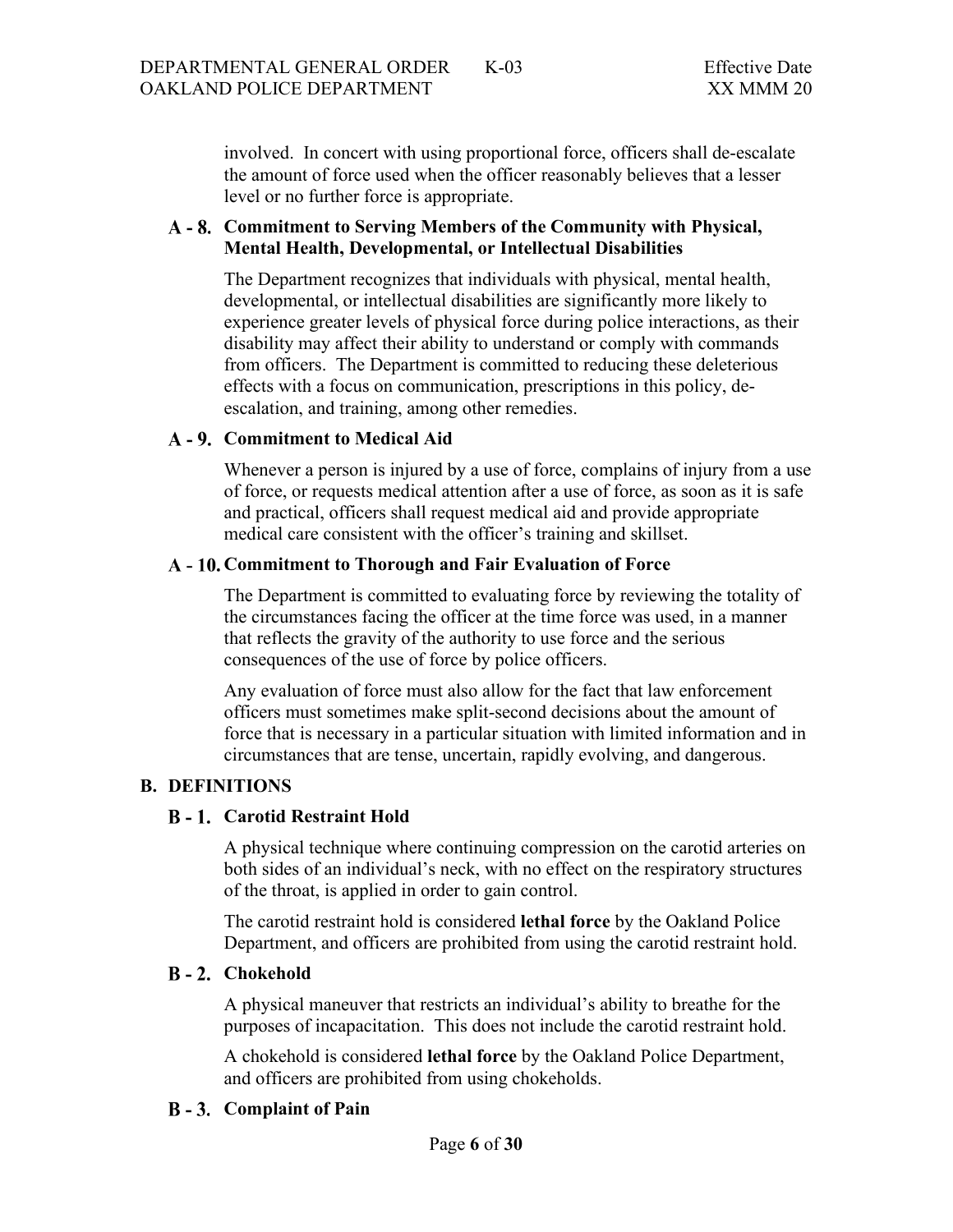involved. In concert with using proportional force, officers shall de-escalate the amount of force used when the officer reasonably believes that a lesser level or no further force is appropriate.

# <span id="page-5-0"></span>**Commitment to Serving Members of the Community with Physical, Mental Health, Developmental, or Intellectual Disabilities**

The Department recognizes that individuals with physical, mental health, developmental, or intellectual disabilities are significantly more likely to experience greater levels of physical force during police interactions, as their disability may affect their ability to understand or comply with commands from officers. The Department is committed to reducing these deleterious effects with a focus on communication, prescriptions in this policy, deescalation, and training, among other remedies.

### <span id="page-5-1"></span>**Commitment to Medical Aid**

Whenever a person is injured by a use of force, complains of injury from a use of force, or requests medical attention after a use of force, as soon as it is safe and practical, officers shall request medical aid and provide appropriate medical care consistent with the officer's training and skillset.

### <span id="page-5-2"></span>**Commitment to Thorough and Fair Evaluation of Force**

The Department is committed to evaluating force by reviewing the totality of the circumstances facing the officer at the time force was used, in a manner that reflects the gravity of the authority to use force and the serious consequences of the use of force by police officers.

Any evaluation of force must also allow for the fact that law enforcement officers must sometimes make split-second decisions about the amount of force that is necessary in a particular situation with limited information and in circumstances that are tense, uncertain, rapidly evolving, and dangerous.

# <span id="page-5-4"></span><span id="page-5-3"></span>**B. DEFINITIONS**

# **Carotid Restraint Hold**

A physical technique where continuing compression on the carotid arteries on both sides of an individual's neck, with no effect on the respiratory structures of the throat, is applied in order to gain control.

The carotid restraint hold is considered **lethal force** by the Oakland Police Department, and officers are prohibited from using the carotid restraint hold.

# <span id="page-5-5"></span>**Chokehold**

A physical maneuver that restricts an individual's ability to breathe for the purposes of incapacitation. This does not include the carotid restraint hold.

A chokehold is considered **lethal force** by the Oakland Police Department, and officers are prohibited from using chokeholds.

# <span id="page-5-6"></span>**Complaint of Pain**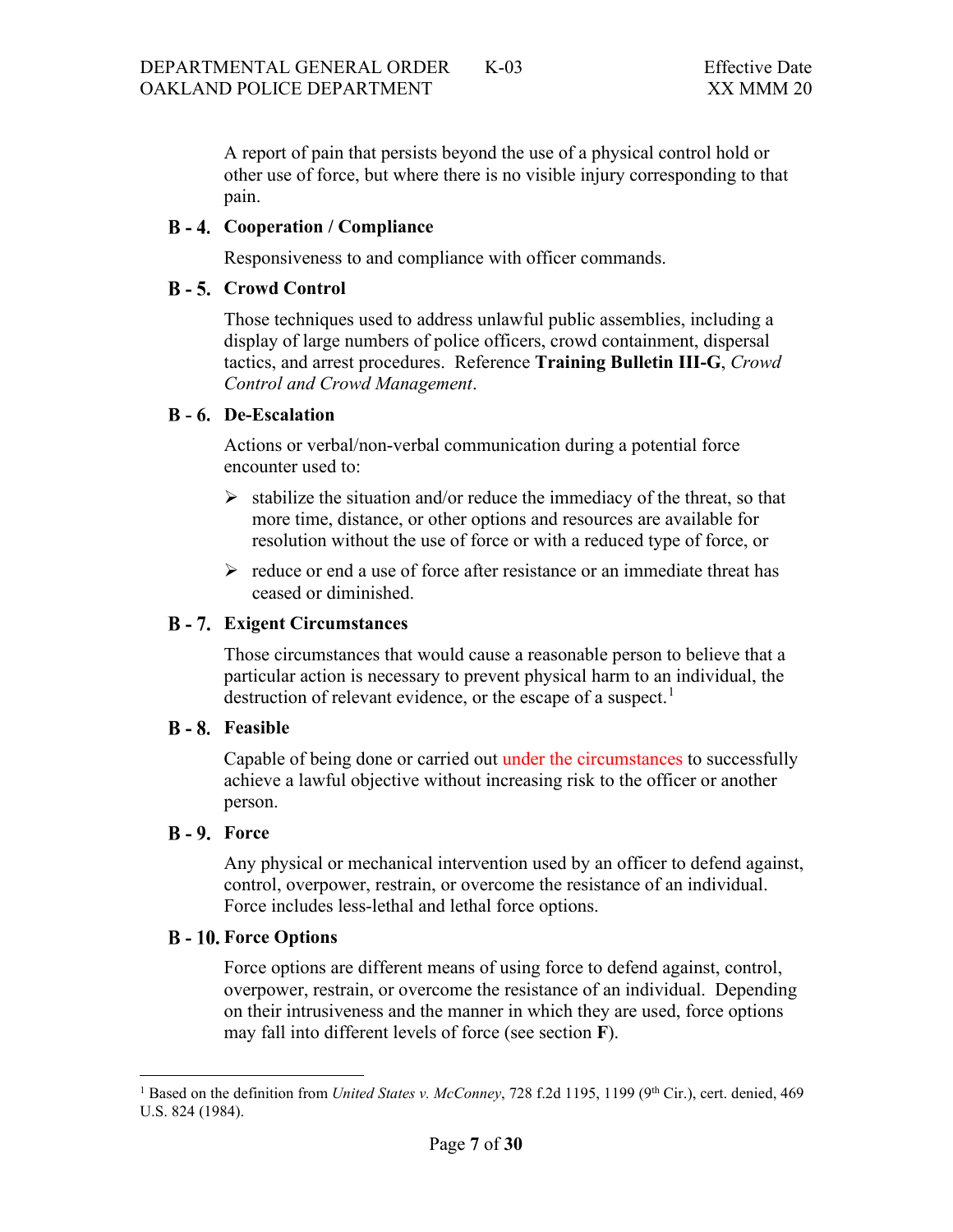A report of pain that persists beyond the use of a physical control hold or other use of force, but where there is no visible injury corresponding to that pain.

### <span id="page-6-0"></span>**Cooperation / Compliance**

Responsiveness to and compliance with officer commands.

### <span id="page-6-1"></span>**B** - 5. Crowd Control

Those techniques used to address unlawful public assemblies, including a display of large numbers of police officers, crowd containment, dispersal tactics, and arrest procedures. Reference **Training Bulletin III-G**, *Crowd Control and Crowd Management*.

### <span id="page-6-2"></span>**De-Escalation**

Actions or verbal/non-verbal communication during a potential force encounter used to:

- $\triangleright$  stabilize the situation and/or reduce the immediacy of the threat, so that more time, distance, or other options and resources are available for resolution without the use of force or with a reduced type of force, or
- $\triangleright$  reduce or end a use of force after resistance or an immediate threat has ceased or diminished.

# <span id="page-6-3"></span>**Exigent Circumstances**

Those circumstances that would cause a reasonable person to believe that a particular action is necessary to prevent physical harm to an individual, the destruction of relevant evidence, or the escape of a suspect.<sup>[1](#page-6-7)</sup>

#### <span id="page-6-4"></span>**B** - 8. Feasible

Capable of being done or carried out under the circumstances to successfully achieve a lawful objective without increasing risk to the officer or another person.

#### <span id="page-6-5"></span>**B** - 9. Force

Any physical or mechanical intervention used by an officer to defend against, control, overpower, restrain, or overcome the resistance of an individual. Force includes less-lethal and lethal force options.

# <span id="page-6-6"></span>**B** - 10. Force Options

Force options are different means of using force to defend against, control, overpower, restrain, or overcome the resistance of an individual. Depending on their intrusiveness and the manner in which they are used, force options may fall into different levels of force (see section **F**).

<span id="page-6-7"></span><sup>&</sup>lt;sup>1</sup> Based on the definition from *United States v. McConney*, 728 f.2d 1195, 1199 (9<sup>th</sup> Cir.), cert. denied, 469 U.S. 824 (1984).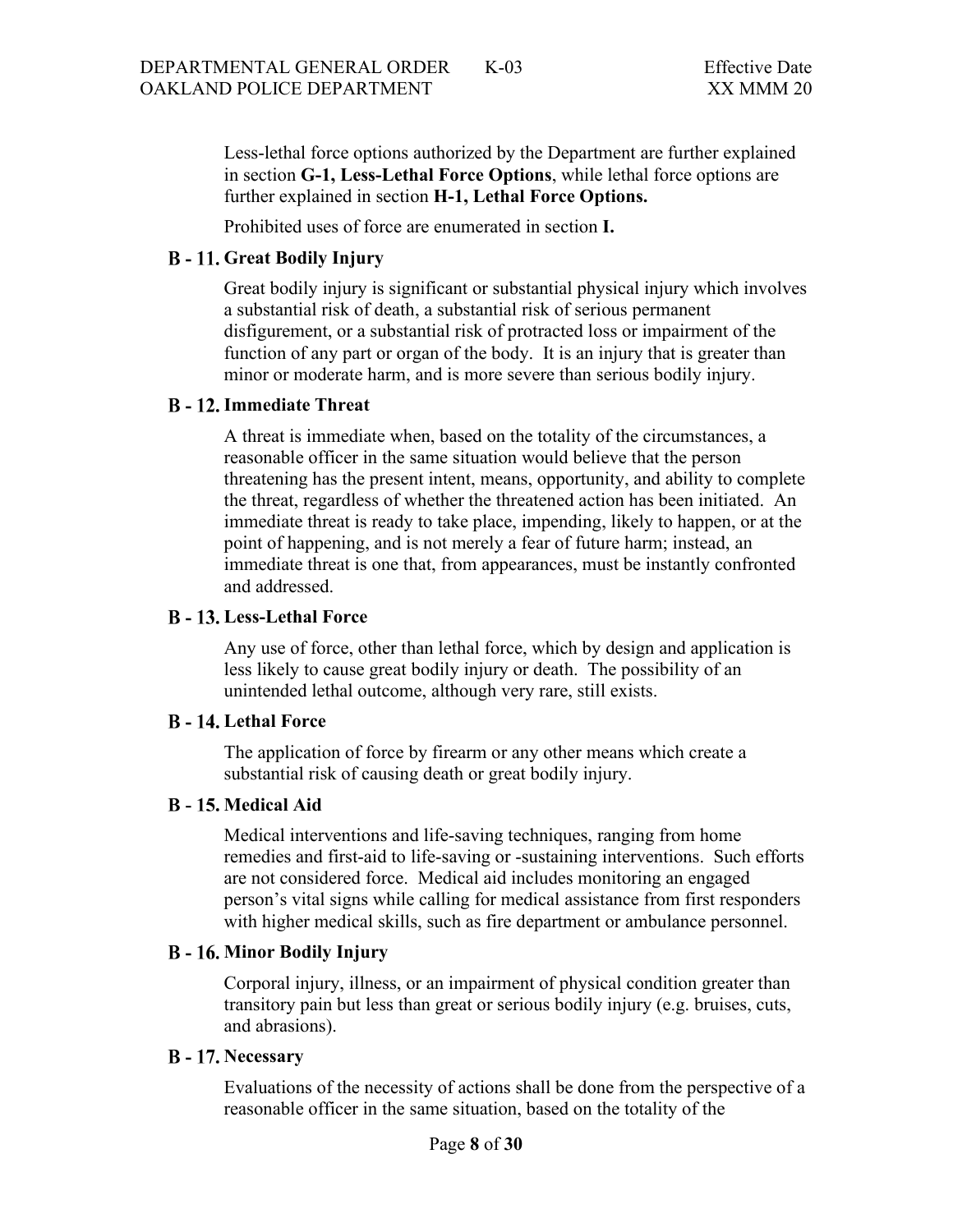Less-lethal force options authorized by the Department are further explained in section **G-1, Less-Lethal Force Options**, while lethal force options are further explained in section **H-1, Lethal Force Options.**

Prohibited uses of force are enumerated in section **I.**

### <span id="page-7-0"></span>**Great Bodily Injury**

Great bodily injury is significant or substantial physical injury which involves a substantial risk of death, a substantial risk of serious permanent disfigurement, or a substantial risk of protracted loss or impairment of the function of any part or organ of the body. It is an injury that is greater than minor or moderate harm, and is more severe than serious bodily injury.

#### <span id="page-7-1"></span>**B** - 12. Immediate Threat

A threat is immediate when, based on the totality of the circumstances, a reasonable officer in the same situation would believe that the person threatening has the present intent, means, opportunity, and ability to complete the threat, regardless of whether the threatened action has been initiated. An immediate threat is ready to take place, impending, likely to happen, or at the point of happening, and is not merely a fear of future harm; instead, an immediate threat is one that, from appearances, must be instantly confronted and addressed.

### <span id="page-7-2"></span>**Less-Lethal Force**

Any use of force, other than lethal force, which by design and application is less likely to cause great bodily injury or death. The possibility of an unintended lethal outcome, although very rare, still exists.

# <span id="page-7-3"></span>**B** - 14. Lethal Force

The application of force by firearm or any other means which create a substantial risk of causing death or great bodily injury.

### <span id="page-7-4"></span>**Medical Aid**

Medical interventions and life-saving techniques, ranging from home remedies and first-aid to life-saving or -sustaining interventions. Such efforts are not considered force. Medical aid includes monitoring an engaged person's vital signs while calling for medical assistance from first responders with higher medical skills, such as fire department or ambulance personnel.

#### <span id="page-7-5"></span>**Minor Bodily Injury**

Corporal injury, illness, or an impairment of physical condition greater than transitory pain but less than great or serious bodily injury (e.g. bruises, cuts, and abrasions).

#### <span id="page-7-6"></span>**B** - 17. Necessary

Evaluations of the necessity of actions shall be done from the perspective of a reasonable officer in the same situation, based on the totality of the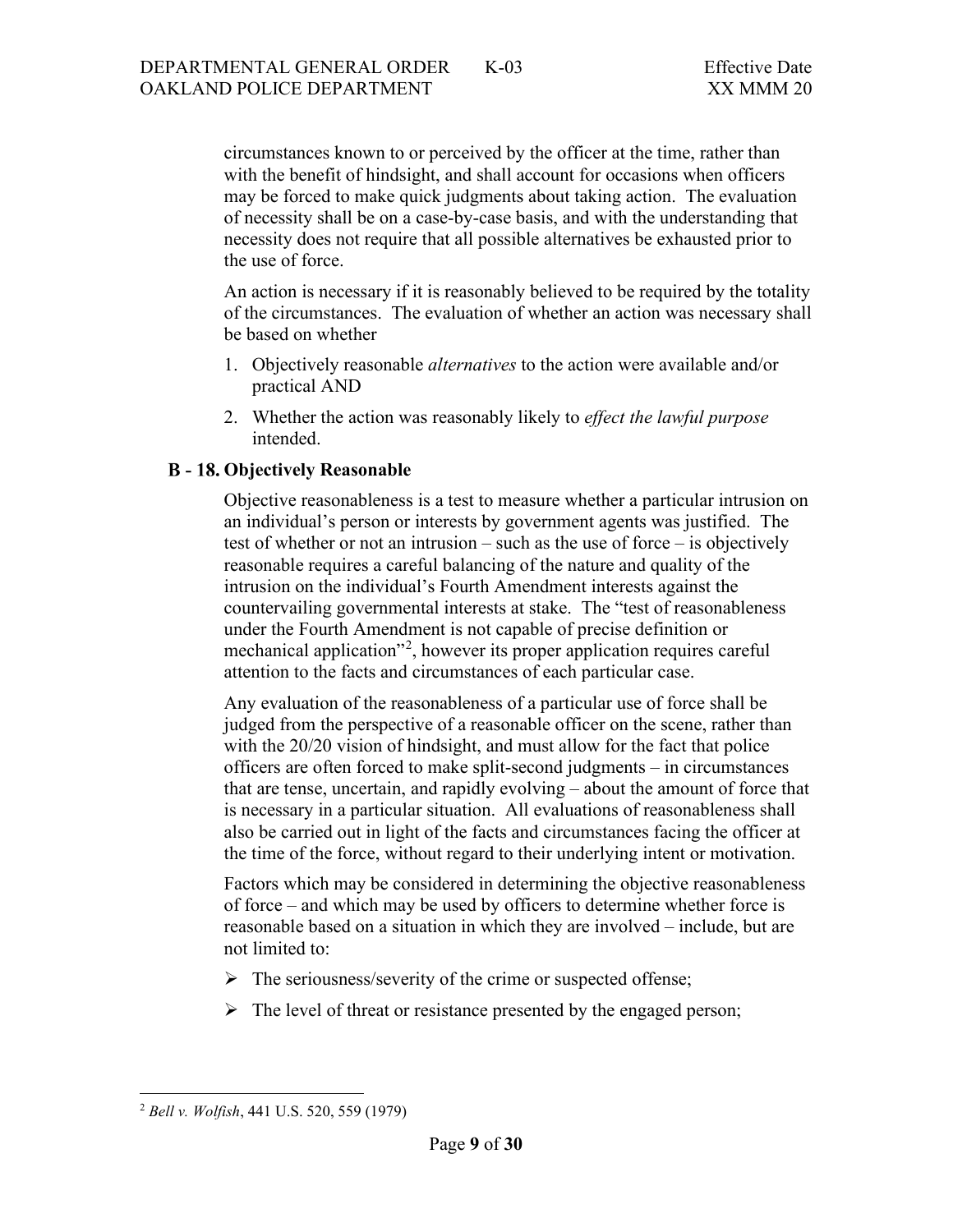circumstances known to or perceived by the officer at the time, rather than with the benefit of hindsight, and shall account for occasions when officers may be forced to make quick judgments about taking action. The evaluation of necessity shall be on a case-by-case basis, and with the understanding that necessity does not require that all possible alternatives be exhausted prior to the use of force.

An action is necessary if it is reasonably believed to be required by the totality of the circumstances. The evaluation of whether an action was necessary shall be based on whether

- 1. Objectively reasonable *alternatives* to the action were available and/or practical AND
- 2. Whether the action was reasonably likely to *effect the lawful purpose* intended.

### <span id="page-8-0"></span>**Objectively Reasonable**

Objective reasonableness is a test to measure whether a particular intrusion on an individual's person or interests by government agents was justified. The test of whether or not an intrusion – such as the use of force – is objectively reasonable requires a careful balancing of the nature and quality of the intrusion on the individual's Fourth Amendment interests against the countervailing governmental interests at stake. The "test of reasonableness under the Fourth Amendment is not capable of precise definition or mechanical application"<sup>[2](#page-8-1)</sup>, however its proper application requires careful attention to the facts and circumstances of each particular case.

Any evaluation of the reasonableness of a particular use of force shall be judged from the perspective of a reasonable officer on the scene, rather than with the 20/20 vision of hindsight, and must allow for the fact that police officers are often forced to make split-second judgments – in circumstances that are tense, uncertain, and rapidly evolving – about the amount of force that is necessary in a particular situation. All evaluations of reasonableness shall also be carried out in light of the facts and circumstances facing the officer at the time of the force, without regard to their underlying intent or motivation.

Factors which may be considered in determining the objective reasonableness of force – and which may be used by officers to determine whether force is reasonable based on a situation in which they are involved – include, but are not limited to:

- $\triangleright$  The seriousness/severity of the crime or suspected offense;
- $\triangleright$  The level of threat or resistance presented by the engaged person;

<span id="page-8-1"></span><sup>2</sup> *Bell v. Wolfish*, 441 U.S. 520, 559 (1979)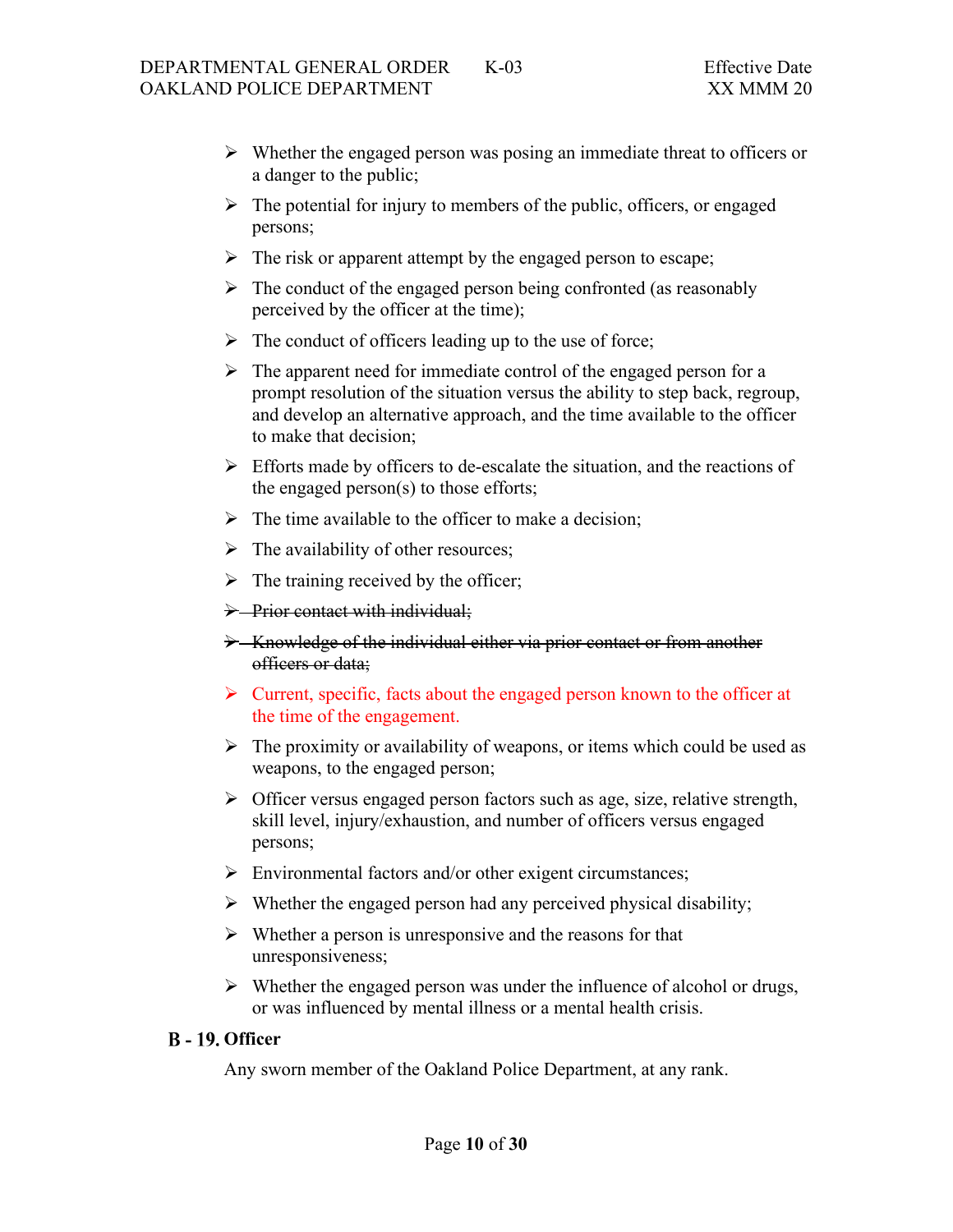- $\triangleright$  Whether the engaged person was posing an immediate threat to officers or a danger to the public;
- $\triangleright$  The potential for injury to members of the public, officers, or engaged persons;
- $\triangleright$  The risk or apparent attempt by the engaged person to escape;
- $\triangleright$  The conduct of the engaged person being confronted (as reasonably perceived by the officer at the time);
- $\triangleright$  The conduct of officers leading up to the use of force;
- $\triangleright$  The apparent need for immediate control of the engaged person for a prompt resolution of the situation versus the ability to step back, regroup, and develop an alternative approach, and the time available to the officer to make that decision;
- $\triangleright$  Efforts made by officers to de-escalate the situation, and the reactions of the engaged person(s) to those efforts;
- $\triangleright$  The time available to the officer to make a decision;
- $\triangleright$  The availability of other resources;
- $\triangleright$  The training received by the officer;
- > Prior contact with individual;
- S Knowledge of the individual either via prior contact or from another officers or data;
- $\triangleright$  Current, specific, facts about the engaged person known to the officer at the time of the engagement.
- $\triangleright$  The proximity or availability of weapons, or items which could be used as weapons, to the engaged person;
- $\triangleright$  Officer versus engaged person factors such as age, size, relative strength, skill level, injury/exhaustion, and number of officers versus engaged persons;
- $\triangleright$  Environmental factors and/or other exigent circumstances;
- $\triangleright$  Whether the engaged person had any perceived physical disability;
- $\triangleright$  Whether a person is unresponsive and the reasons for that unresponsiveness;
- $\triangleright$  Whether the engaged person was under the influence of alcohol or drugs, or was influenced by mental illness or a mental health crisis.

#### <span id="page-9-0"></span>**B** - 19. Officer

Any sworn member of the Oakland Police Department, at any rank.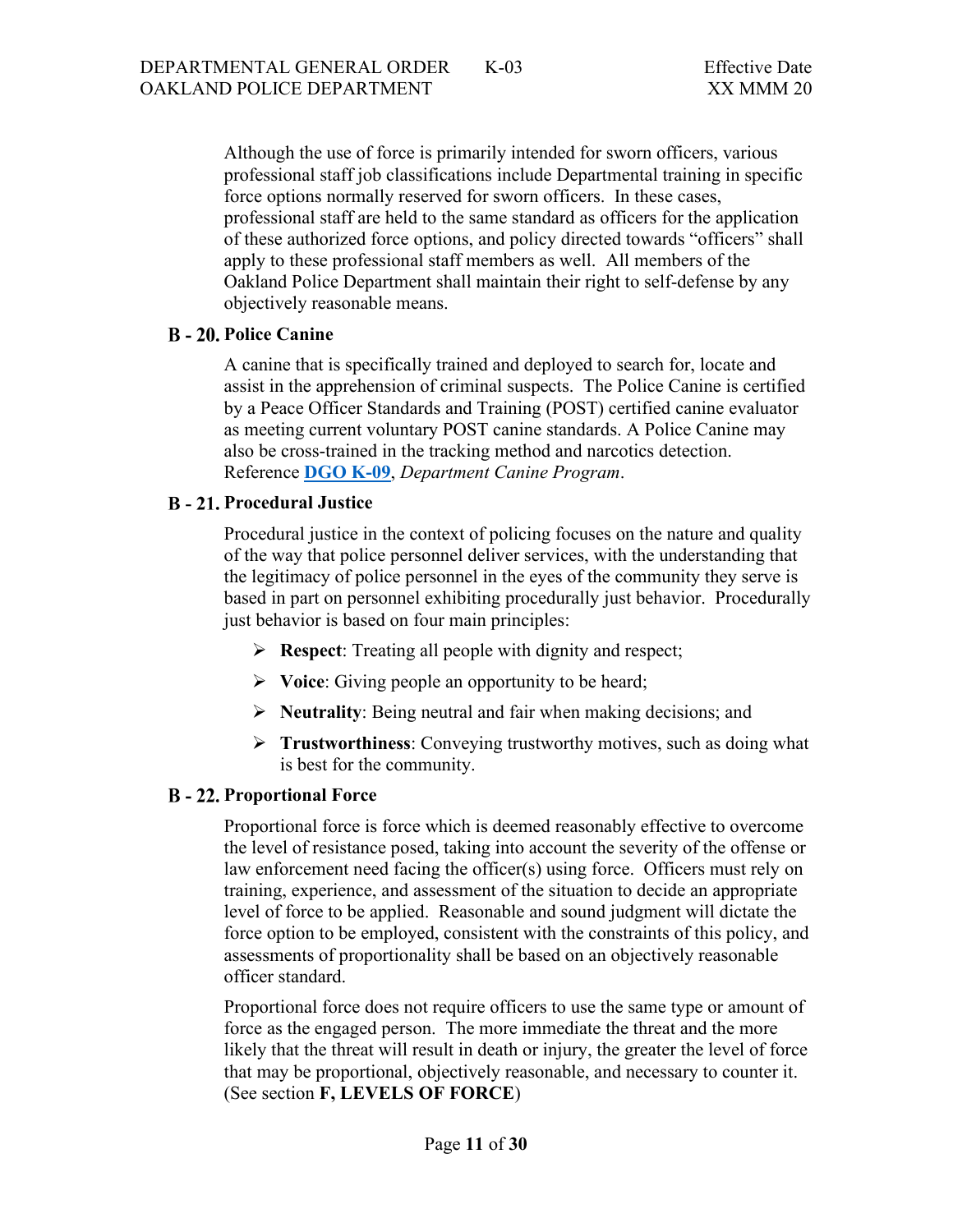Although the use of force is primarily intended for sworn officers, various professional staff job classifications include Departmental training in specific force options normally reserved for sworn officers. In these cases, professional staff are held to the same standard as officers for the application of these authorized force options, and policy directed towards "officers" shall apply to these professional staff members as well. All members of the Oakland Police Department shall maintain their right to self-defense by any objectively reasonable means.

#### <span id="page-10-0"></span>**B** - 20. Police Canine

A canine that is specifically trained and deployed to search for, locate and assist in the apprehension of criminal suspects. The Police Canine is certified by a Peace Officer Standards and Training (POST) certified canine evaluator as meeting current voluntary POST canine standards. A Police Canine may also be cross-trained in the tracking method and narcotics detection. Reference **[DGO K-09](https://powerdms.com/public/OAKLAND/tree/documents/421)**, *Department Canine Program*.

### <span id="page-10-1"></span>**B** - 21. Procedural Justice

Procedural justice in the context of policing focuses on the nature and quality of the way that police personnel deliver services, with the understanding that the legitimacy of police personnel in the eyes of the community they serve is based in part on personnel exhibiting procedurally just behavior. Procedurally just behavior is based on four main principles:

- **Respect:** Treating all people with dignity and respect;
- **Voice**: Giving people an opportunity to be heard;
- **Neutrality**: Being neutral and fair when making decisions; and
- **Trustworthiness**: Conveying trustworthy motives, such as doing what is best for the community.

#### <span id="page-10-2"></span>**B** - 22. Proportional Force

Proportional force is force which is deemed reasonably effective to overcome the level of resistance posed, taking into account the severity of the offense or law enforcement need facing the officer(s) using force. Officers must rely on training, experience, and assessment of the situation to decide an appropriate level of force to be applied. Reasonable and sound judgment will dictate the force option to be employed, consistent with the constraints of this policy, and assessments of proportionality shall be based on an objectively reasonable officer standard.

Proportional force does not require officers to use the same type or amount of force as the engaged person. The more immediate the threat and the more likely that the threat will result in death or injury, the greater the level of force that may be proportional, objectively reasonable, and necessary to counter it. (See section **F, LEVELS OF FORCE**)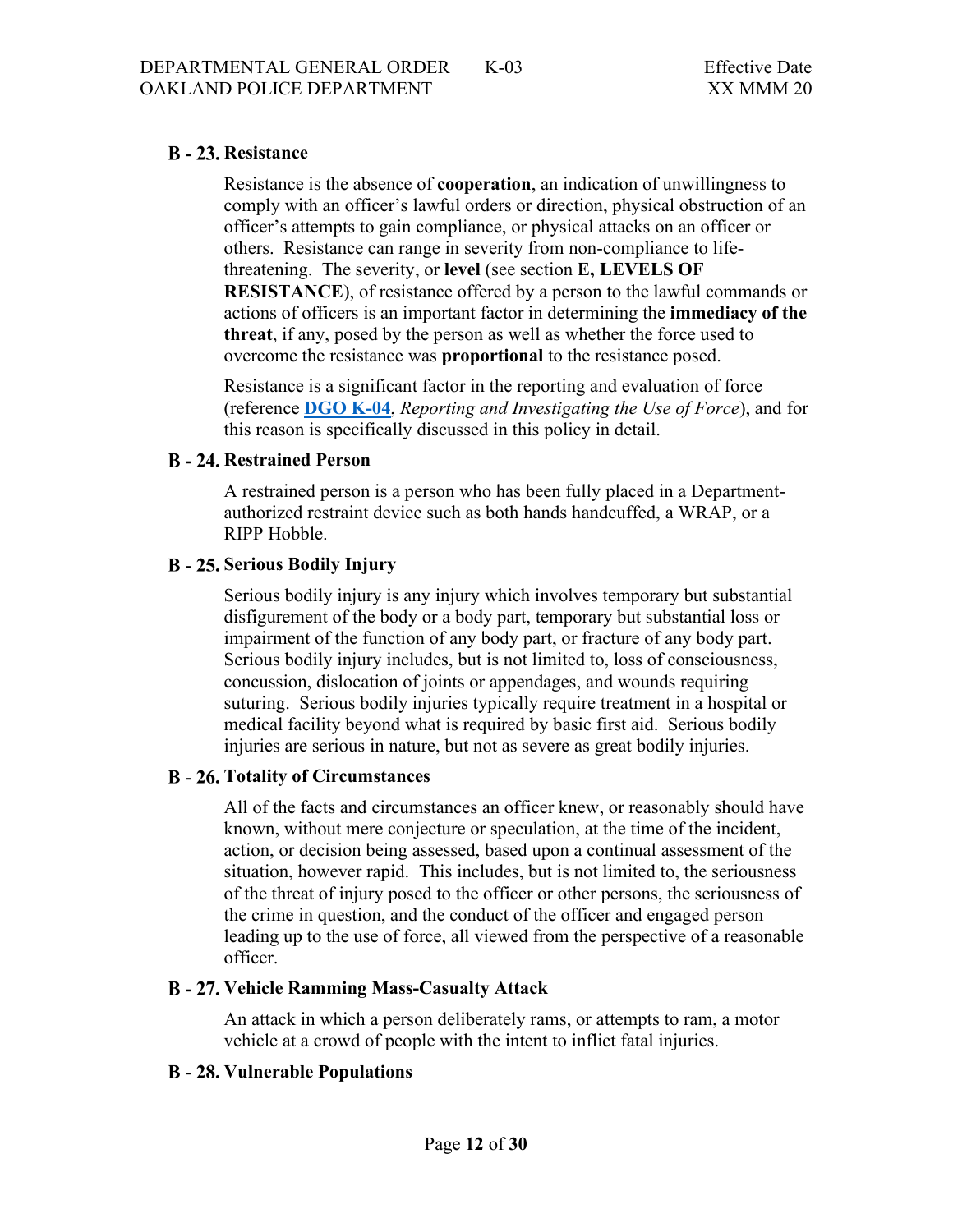# <span id="page-11-0"></span>**B** - 23. Resistance

Resistance is the absence of **cooperation**, an indication of unwillingness to comply with an officer's lawful orders or direction, physical obstruction of an officer's attempts to gain compliance, or physical attacks on an officer or others. Resistance can range in severity from non-compliance to lifethreatening. The severity, or **level** (see section **E, LEVELS OF RESISTANCE**), of resistance offered by a person to the lawful commands or actions of officers is an important factor in determining the **immediacy of the threat**, if any, posed by the person as well as whether the force used to overcome the resistance was **proportional** to the resistance posed.

Resistance is a significant factor in the reporting and evaluation of force (reference **[DGO K-04](https://www.powerdms.com/public/OAKLAND/documents/416)**, *Reporting and Investigating the Use of Force*), and for this reason is specifically discussed in this policy in detail.

### <span id="page-11-1"></span>**B** - 24. Restrained Person

A restrained person is a person who has been fully placed in a Departmentauthorized restraint device such as both hands handcuffed, a WRAP, or a RIPP Hobble.

### <span id="page-11-2"></span>**Serious Bodily Injury**

Serious bodily injury is any injury which involves temporary but substantial disfigurement of the body or a body part, temporary but substantial loss or impairment of the function of any body part, or fracture of any body part. Serious bodily injury includes, but is not limited to, loss of consciousness, concussion, dislocation of joints or appendages, and wounds requiring suturing. Serious bodily injuries typically require treatment in a hospital or medical facility beyond what is required by basic first aid. Serious bodily injuries are serious in nature, but not as severe as great bodily injuries.

# <span id="page-11-3"></span>**Totality of Circumstances**

All of the facts and circumstances an officer knew, or reasonably should have known, without mere conjecture or speculation, at the time of the incident, action, or decision being assessed, based upon a continual assessment of the situation, however rapid. This includes, but is not limited to, the seriousness of the threat of injury posed to the officer or other persons, the seriousness of the crime in question, and the conduct of the officer and engaged person leading up to the use of force, all viewed from the perspective of a reasonable officer.

# <span id="page-11-4"></span>**Vehicle Ramming Mass-Casualty Attack**

An attack in which a person deliberately rams, or attempts to ram, a motor vehicle at a crowd of people with the intent to inflict fatal injuries.

# <span id="page-11-5"></span>**B** - 28. Vulnerable Populations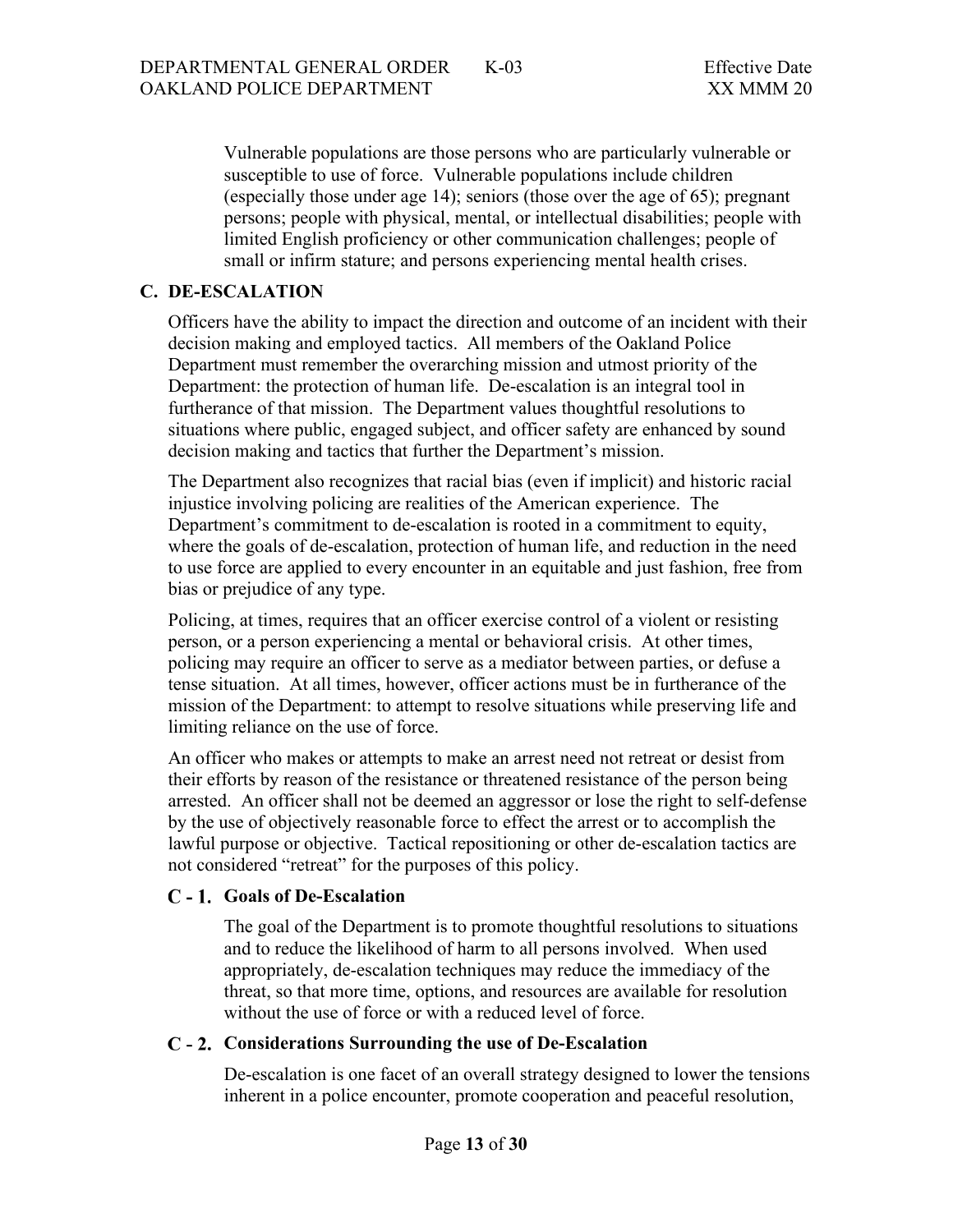Vulnerable populations are those persons who are particularly vulnerable or susceptible to use of force. Vulnerable populations include children (especially those under age 14); seniors (those over the age of 65); pregnant persons; people with physical, mental, or intellectual disabilities; people with limited English proficiency or other communication challenges; people of small or infirm stature; and persons experiencing mental health crises.

## <span id="page-12-0"></span>**C. DE-ESCALATION**

Officers have the ability to impact the direction and outcome of an incident with their decision making and employed tactics. All members of the Oakland Police Department must remember the overarching mission and utmost priority of the Department: the protection of human life. De-escalation is an integral tool in furtherance of that mission. The Department values thoughtful resolutions to situations where public, engaged subject, and officer safety are enhanced by sound decision making and tactics that further the Department's mission.

The Department also recognizes that racial bias (even if implicit) and historic racial injustice involving policing are realities of the American experience. The Department's commitment to de-escalation is rooted in a commitment to equity, where the goals of de-escalation, protection of human life, and reduction in the need to use force are applied to every encounter in an equitable and just fashion, free from bias or prejudice of any type.

Policing, at times, requires that an officer exercise control of a violent or resisting person, or a person experiencing a mental or behavioral crisis. At other times, policing may require an officer to serve as a mediator between parties, or defuse a tense situation. At all times, however, officer actions must be in furtherance of the mission of the Department: to attempt to resolve situations while preserving life and limiting reliance on the use of force.

An officer who makes or attempts to make an arrest need not retreat or desist from their efforts by reason of the resistance or threatened resistance of the person being arrested. An officer shall not be deemed an aggressor or lose the right to self-defense by the use of objectively reasonable force to effect the arrest or to accomplish the lawful purpose or objective. Tactical repositioning or other de-escalation tactics are not considered "retreat" for the purposes of this policy.

#### <span id="page-12-1"></span>**Goals of De-Escalation**

The goal of the Department is to promote thoughtful resolutions to situations and to reduce the likelihood of harm to all persons involved. When used appropriately, de-escalation techniques may reduce the immediacy of the threat, so that more time, options, and resources are available for resolution without the use of force or with a reduced level of force.

#### <span id="page-12-2"></span>**C** - 2. Considerations Surrounding the use of De-Escalation

De-escalation is one facet of an overall strategy designed to lower the tensions inherent in a police encounter, promote cooperation and peaceful resolution,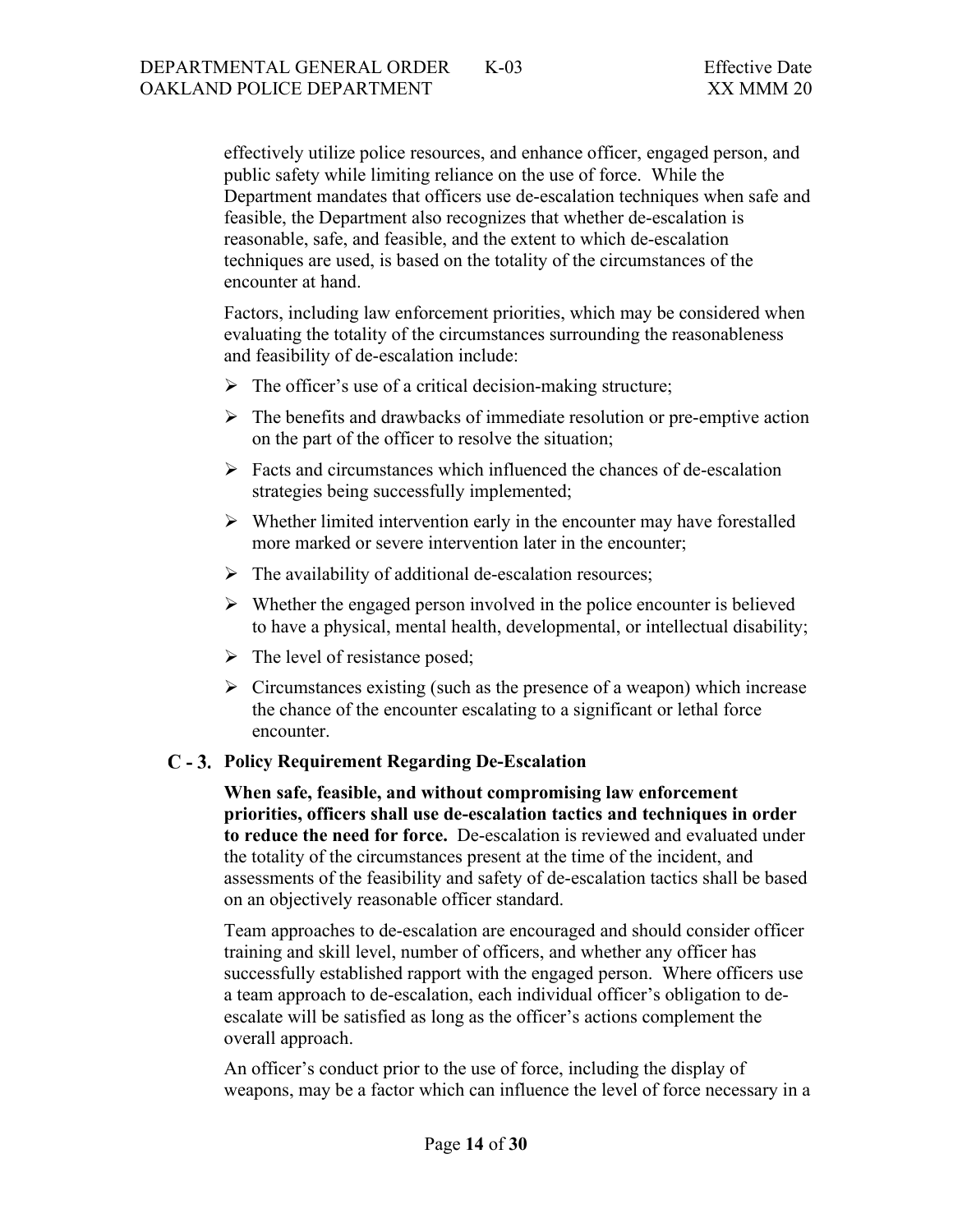effectively utilize police resources, and enhance officer, engaged person, and public safety while limiting reliance on the use of force. While the Department mandates that officers use de-escalation techniques when safe and feasible, the Department also recognizes that whether de-escalation is reasonable, safe, and feasible, and the extent to which de-escalation techniques are used, is based on the totality of the circumstances of the encounter at hand.

Factors, including law enforcement priorities, which may be considered when evaluating the totality of the circumstances surrounding the reasonableness and feasibility of de-escalation include:

- $\triangleright$  The officer's use of a critical decision-making structure;
- $\triangleright$  The benefits and drawbacks of immediate resolution or pre-emptive action on the part of the officer to resolve the situation;
- $\triangleright$  Facts and circumstances which influenced the chances of de-escalation strategies being successfully implemented;
- $\triangleright$  Whether limited intervention early in the encounter may have forestalled more marked or severe intervention later in the encounter;
- $\triangleright$  The availability of additional de-escalation resources;
- $\triangleright$  Whether the engaged person involved in the police encounter is believed to have a physical, mental health, developmental, or intellectual disability;
- $\triangleright$  The level of resistance posed;
- $\triangleright$  Circumstances existing (such as the presence of a weapon) which increase the chance of the encounter escalating to a significant or lethal force encounter.

#### <span id="page-13-0"></span>**Policy Requirement Regarding De-Escalation**

**When safe, feasible, and without compromising law enforcement priorities, officers shall use de-escalation tactics and techniques in order to reduce the need for force.** De-escalation is reviewed and evaluated under the totality of the circumstances present at the time of the incident, and assessments of the feasibility and safety of de-escalation tactics shall be based on an objectively reasonable officer standard.

Team approaches to de-escalation are encouraged and should consider officer training and skill level, number of officers, and whether any officer has successfully established rapport with the engaged person. Where officers use a team approach to de-escalation, each individual officer's obligation to deescalate will be satisfied as long as the officer's actions complement the overall approach.

An officer's conduct prior to the use of force, including the display of weapons, may be a factor which can influence the level of force necessary in a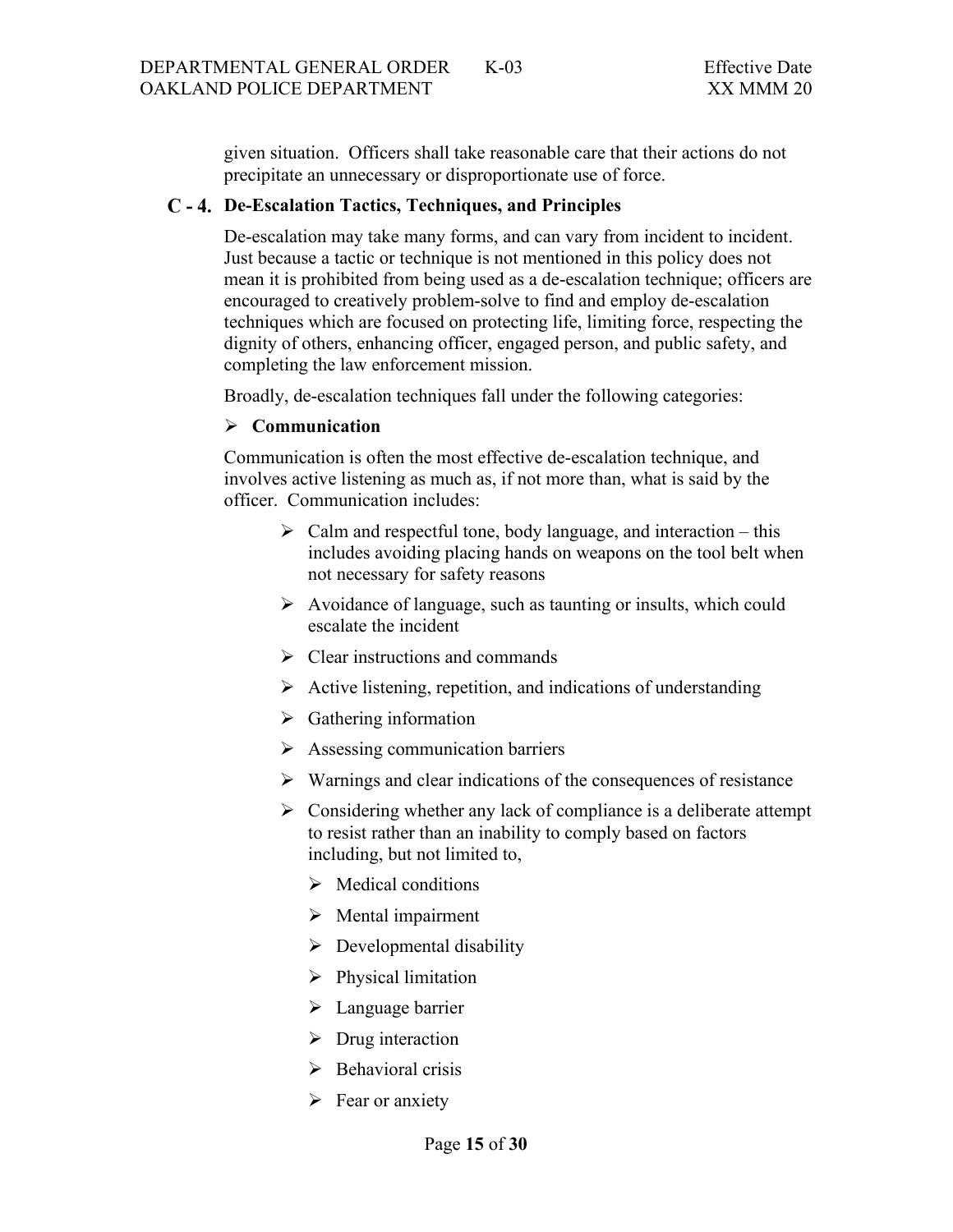given situation. Officers shall take reasonable care that their actions do not precipitate an unnecessary or disproportionate use of force.

### <span id="page-14-0"></span>**De-Escalation Tactics, Techniques, and Principles**

De-escalation may take many forms, and can vary from incident to incident. Just because a tactic or technique is not mentioned in this policy does not mean it is prohibited from being used as a de-escalation technique; officers are encouraged to creatively problem-solve to find and employ de-escalation techniques which are focused on protecting life, limiting force, respecting the dignity of others, enhancing officer, engaged person, and public safety, and completing the law enforcement mission.

Broadly, de-escalation techniques fall under the following categories:

#### **Communication**

Communication is often the most effective de-escalation technique, and involves active listening as much as, if not more than, what is said by the officer. Communication includes:

- $\triangleright$  Calm and respectful tone, body language, and interaction this includes avoiding placing hands on weapons on the tool belt when not necessary for safety reasons
- $\triangleright$  Avoidance of language, such as taunting or insults, which could escalate the incident
- $\triangleright$  Clear instructions and commands
- $\triangleright$  Active listening, repetition, and indications of understanding
- $\triangleright$  Gathering information
- $\triangleright$  Assessing communication barriers
- $\triangleright$  Warnings and clear indications of the consequences of resistance
- $\triangleright$  Considering whether any lack of compliance is a deliberate attempt to resist rather than an inability to comply based on factors including, but not limited to,
	- $\triangleright$  Medical conditions
	- $\triangleright$  Mental impairment
	- $\triangleright$  Developmental disability
	- $\triangleright$  Physical limitation
	- > Language barrier
	- $\triangleright$  Drug interaction
	- $\triangleright$  Behavioral crisis
	- $\triangleright$  Fear or anxiety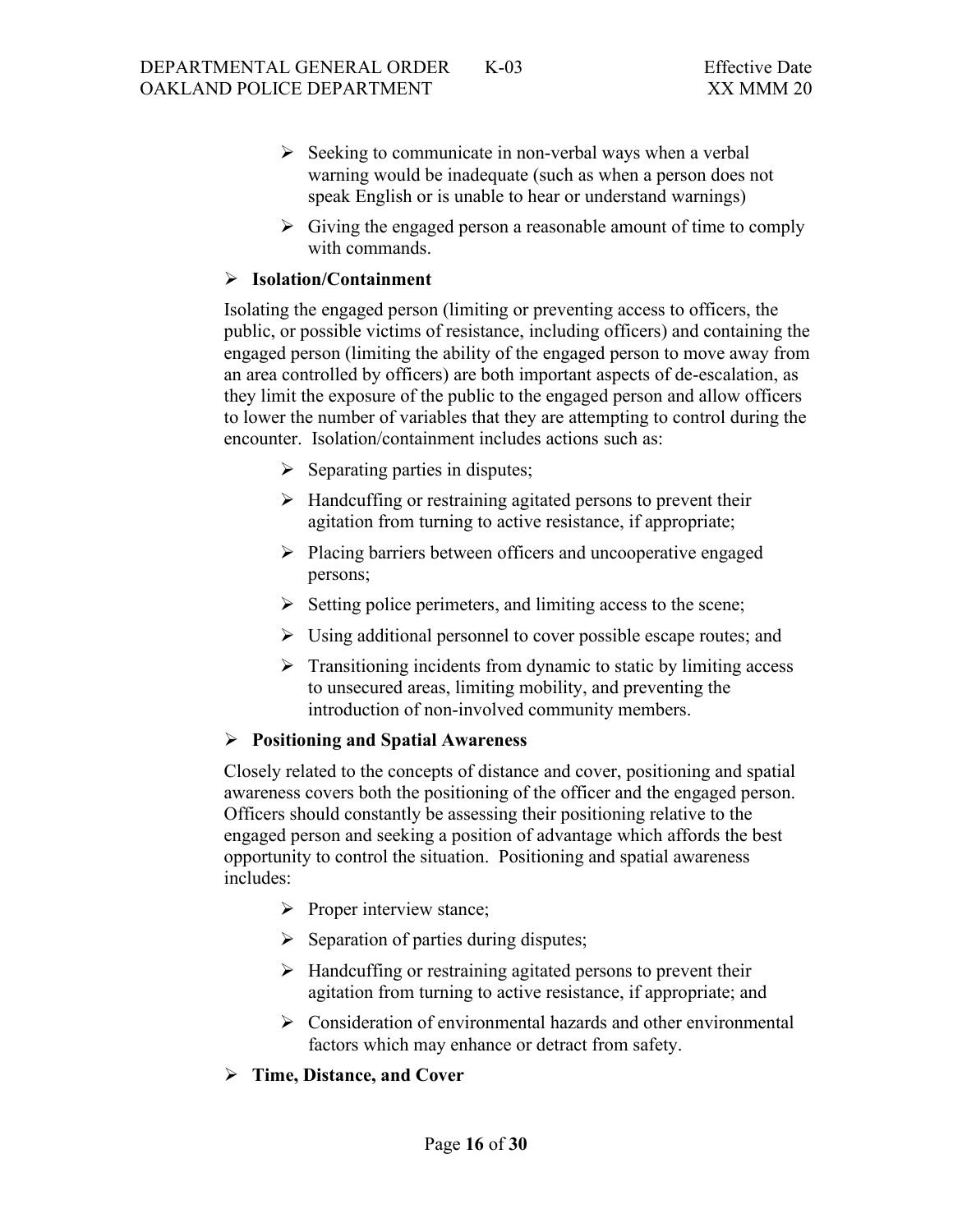- $\triangleright$  Seeking to communicate in non-verbal ways when a verbal warning would be inadequate (such as when a person does not speak English or is unable to hear or understand warnings)
- $\triangleright$  Giving the engaged person a reasonable amount of time to comply with commands.

#### **Isolation/Containment**

Isolating the engaged person (limiting or preventing access to officers, the public, or possible victims of resistance, including officers) and containing the engaged person (limiting the ability of the engaged person to move away from an area controlled by officers) are both important aspects of de-escalation, as they limit the exposure of the public to the engaged person and allow officers to lower the number of variables that they are attempting to control during the encounter. Isolation/containment includes actions such as:

- $\triangleright$  Separating parties in disputes;
- $\triangleright$  Handcuffing or restraining agitated persons to prevent their agitation from turning to active resistance, if appropriate;
- $\triangleright$  Placing barriers between officers and uncooperative engaged persons;
- $\triangleright$  Setting police perimeters, and limiting access to the scene;
- $\triangleright$  Using additional personnel to cover possible escape routes; and
- $\triangleright$  Transitioning incidents from dynamic to static by limiting access to unsecured areas, limiting mobility, and preventing the introduction of non-involved community members.

#### **Positioning and Spatial Awareness**

Closely related to the concepts of distance and cover, positioning and spatial awareness covers both the positioning of the officer and the engaged person. Officers should constantly be assessing their positioning relative to the engaged person and seeking a position of advantage which affords the best opportunity to control the situation. Positioning and spatial awareness includes:

- $\triangleright$  Proper interview stance;
- $\triangleright$  Separation of parties during disputes;
- $\triangleright$  Handcuffing or restraining agitated persons to prevent their agitation from turning to active resistance, if appropriate; and
- $\triangleright$  Consideration of environmental hazards and other environmental factors which may enhance or detract from safety.
- **Time, Distance, and Cover**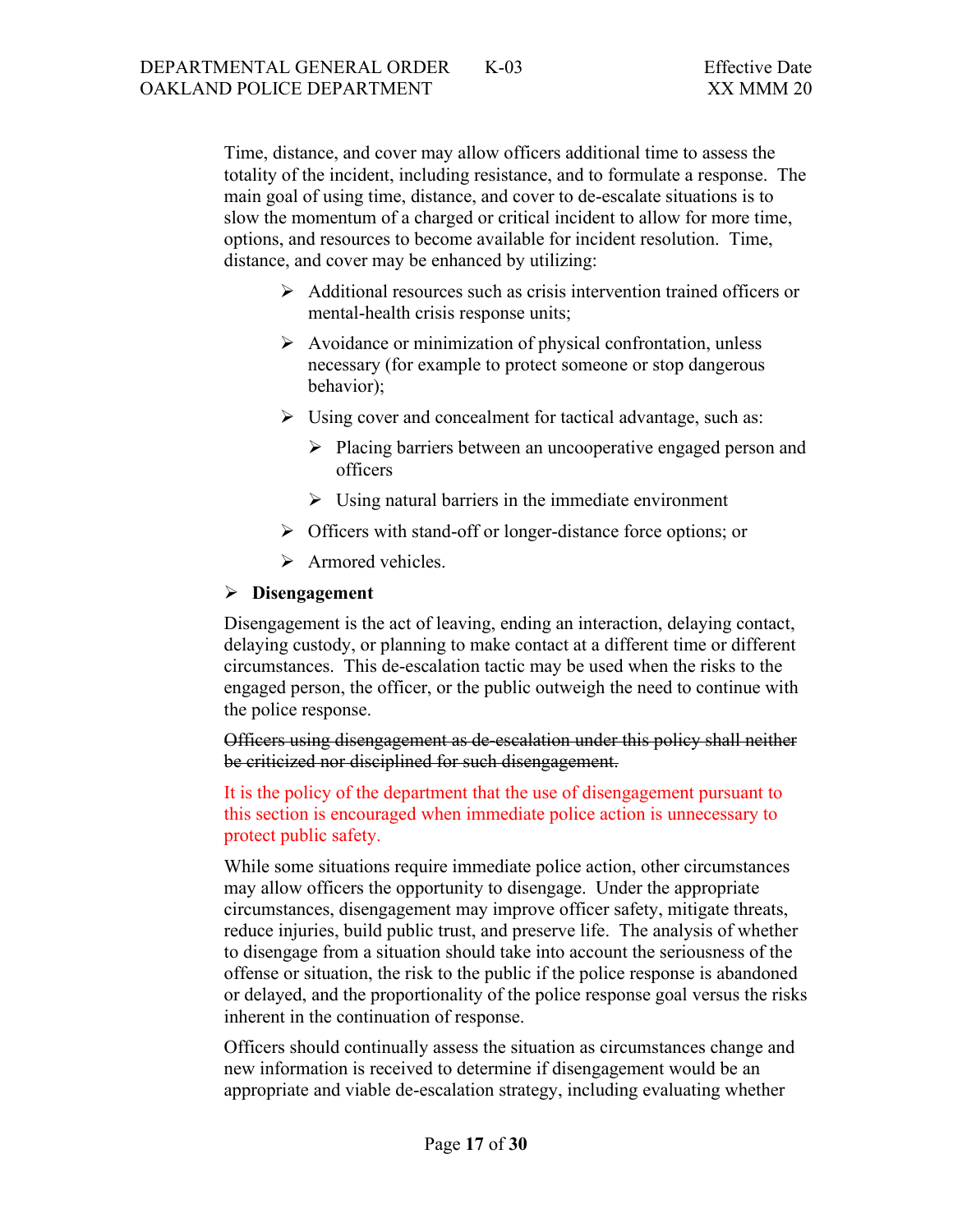Time, distance, and cover may allow officers additional time to assess the totality of the incident, including resistance, and to formulate a response. The main goal of using time, distance, and cover to de-escalate situations is to slow the momentum of a charged or critical incident to allow for more time, options, and resources to become available for incident resolution. Time, distance, and cover may be enhanced by utilizing:

- $\triangleright$  Additional resources such as crisis intervention trained officers or mental-health crisis response units;
- $\triangleright$  Avoidance or minimization of physical confrontation, unless necessary (for example to protect someone or stop dangerous behavior);
- $\triangleright$  Using cover and concealment for tactical advantage, such as:
	- > Placing barriers between an uncooperative engaged person and officers
	- $\triangleright$  Using natural barriers in the immediate environment
- > Officers with stand-off or longer-distance force options; or
- $\triangleright$  Armored vehicles.

#### **Disengagement**

Disengagement is the act of leaving, ending an interaction, delaying contact, delaying custody, or planning to make contact at a different time or different circumstances. This de-escalation tactic may be used when the risks to the engaged person, the officer, or the public outweigh the need to continue with the police response.

Officers using disengagement as de-escalation under this policy shall neither be criticized nor disciplined for such disengagement.

It is the policy of the department that the use of disengagement pursuant to this section is encouraged when immediate police action is unnecessary to protect public safety.

While some situations require immediate police action, other circumstances may allow officers the opportunity to disengage. Under the appropriate circumstances, disengagement may improve officer safety, mitigate threats, reduce injuries, build public trust, and preserve life. The analysis of whether to disengage from a situation should take into account the seriousness of the offense or situation, the risk to the public if the police response is abandoned or delayed, and the proportionality of the police response goal versus the risks inherent in the continuation of response.

Officers should continually assess the situation as circumstances change and new information is received to determine if disengagement would be an appropriate and viable de-escalation strategy, including evaluating whether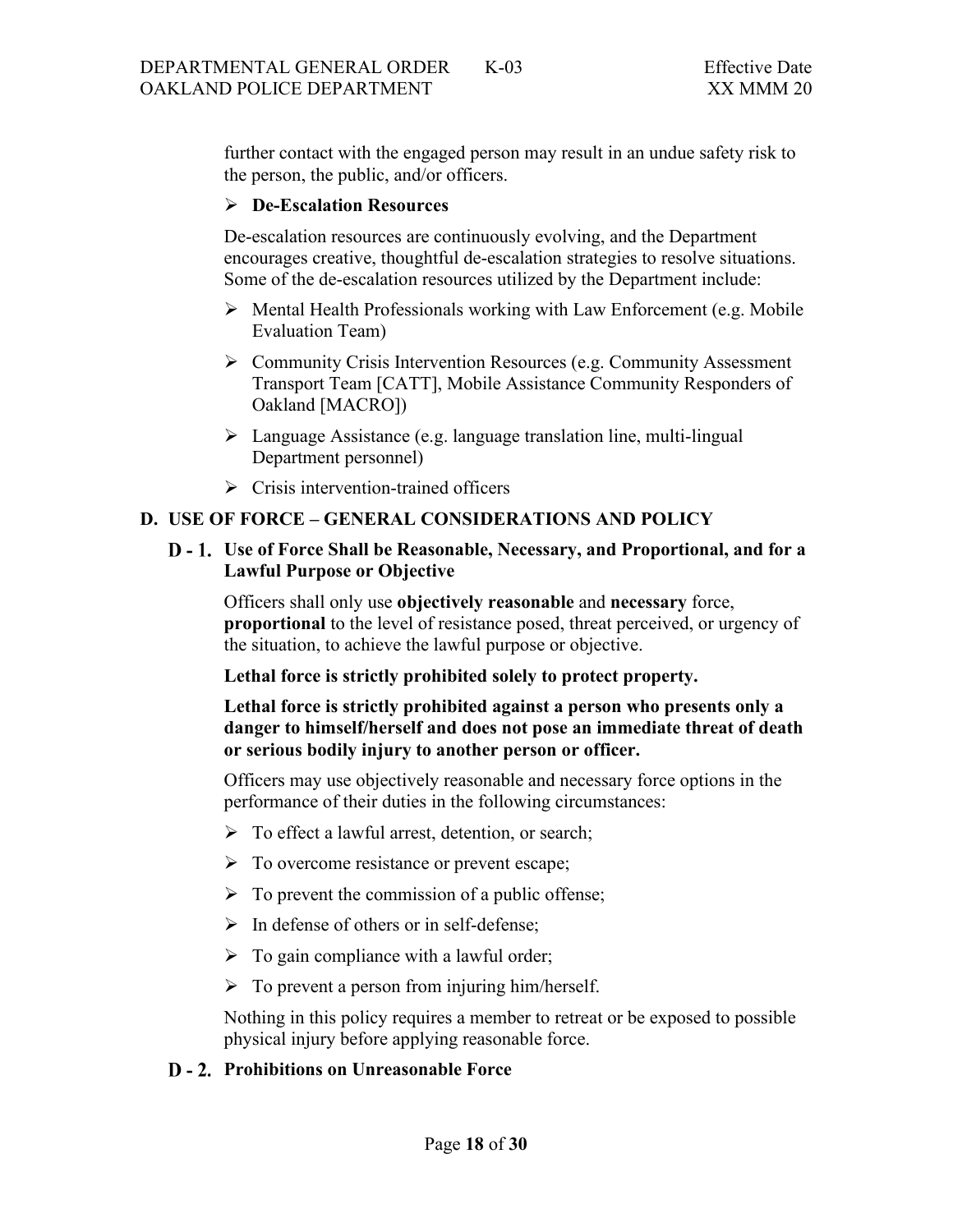further contact with the engaged person may result in an undue safety risk to the person, the public, and/or officers.

### **De-Escalation Resources**

De-escalation resources are continuously evolving, and the Department encourages creative, thoughtful de-escalation strategies to resolve situations. Some of the de-escalation resources utilized by the Department include:

- $\triangleright$  Mental Health Professionals working with Law Enforcement (e.g. Mobile Evaluation Team)
- Community Crisis Intervention Resources (e.g. Community Assessment Transport Team [CATT], Mobile Assistance Community Responders of Oakland [MACRO])
- Language Assistance (e.g. language translation line, multi-lingual Department personnel)
- $\triangleright$  Crisis intervention-trained officers

### <span id="page-17-0"></span>**D. USE OF FORCE – GENERAL CONSIDERATIONS AND POLICY**

<span id="page-17-1"></span>**Use of Force Shall be Reasonable, Necessary, and Proportional, and for a Lawful Purpose or Objective**

Officers shall only use **objectively reasonable** and **necessary** force, **proportional** to the level of resistance posed, threat perceived, or urgency of the situation, to achieve the lawful purpose or objective.

#### **Lethal force is strictly prohibited solely to protect property.**

**Lethal force is strictly prohibited against a person who presents only a danger to himself/herself and does not pose an immediate threat of death or serious bodily injury to another person or officer.**

Officers may use objectively reasonable and necessary force options in the performance of their duties in the following circumstances:

- $\triangleright$  To effect a lawful arrest, detention, or search;
- $\triangleright$  To overcome resistance or prevent escape;
- $\triangleright$  To prevent the commission of a public offense;
- $\triangleright$  In defense of others or in self-defense;
- $\triangleright$  To gain compliance with a lawful order;
- $\triangleright$  To prevent a person from injuring him/herself.

Nothing in this policy requires a member to retreat or be exposed to possible physical injury before applying reasonable force.

#### <span id="page-17-2"></span>**D** - 2. Prohibitions on Unreasonable Force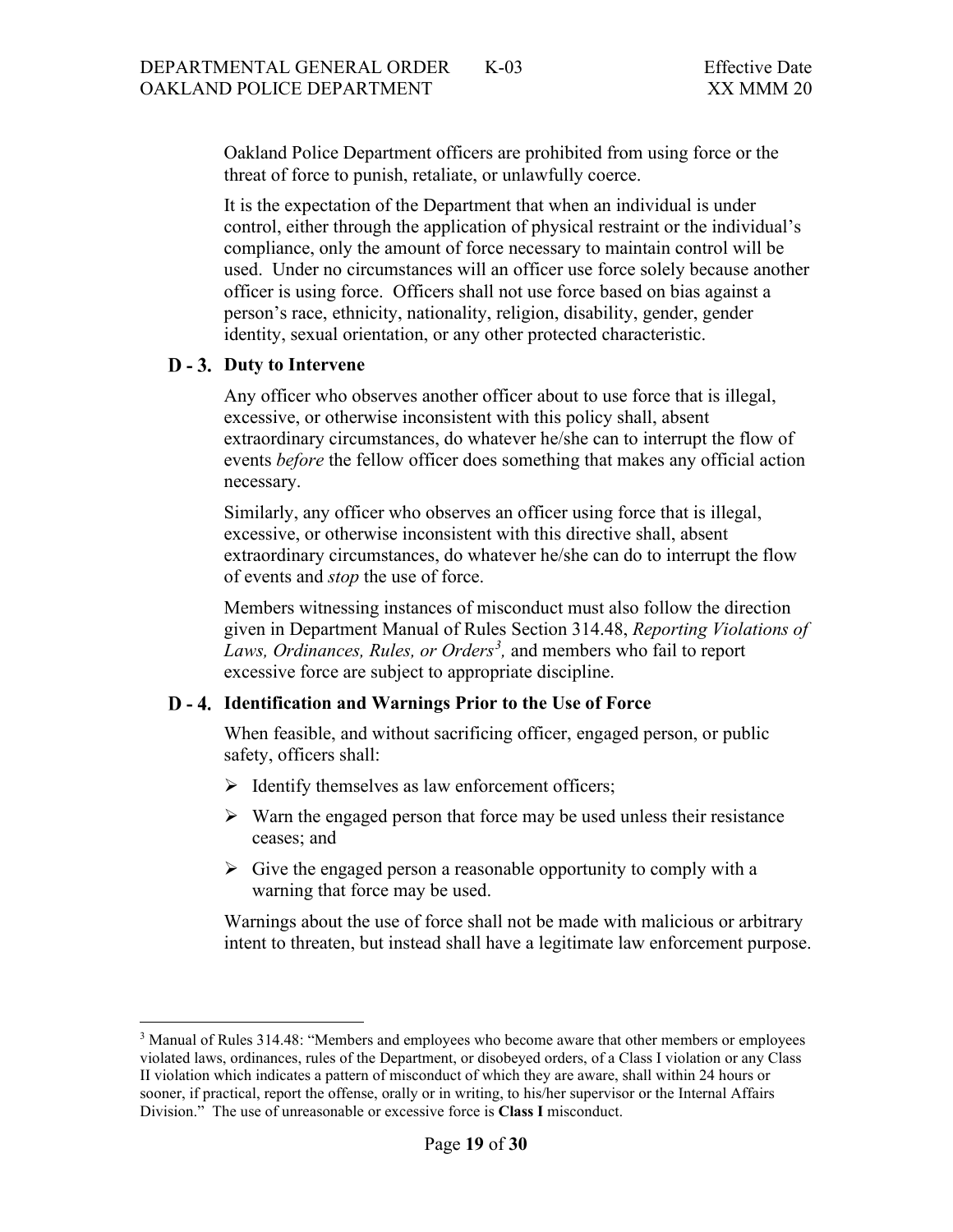Oakland Police Department officers are prohibited from using force or the threat of force to punish, retaliate, or unlawfully coerce.

It is the expectation of the Department that when an individual is under control, either through the application of physical restraint or the individual's compliance, only the amount of force necessary to maintain control will be used. Under no circumstances will an officer use force solely because another officer is using force. Officers shall not use force based on bias against a person's race, ethnicity, nationality, religion, disability, gender, gender identity, sexual orientation, or any other protected characteristic.

#### <span id="page-18-0"></span>**D** - 3. Duty to Intervene

Any officer who observes another officer about to use force that is illegal, excessive, or otherwise inconsistent with this policy shall, absent extraordinary circumstances, do whatever he/she can to interrupt the flow of events *before* the fellow officer does something that makes any official action necessary.

Similarly, any officer who observes an officer using force that is illegal, excessive, or otherwise inconsistent with this directive shall, absent extraordinary circumstances, do whatever he/she can do to interrupt the flow of events and *stop* the use of force.

Members witnessing instances of misconduct must also follow the direction given in Department Manual of Rules Section 314.48, *Reporting Violations of*  Laws, Ordinances, Rules, or Orders<sup>[3](#page-18-2)</sup>, and members who fail to report excessive force are subject to appropriate discipline.

#### <span id="page-18-1"></span>**Identification and Warnings Prior to the Use of Force**

When feasible, and without sacrificing officer, engaged person, or public safety, officers shall:

- $\triangleright$  Identify themselves as law enforcement officers;
- $\triangleright$  Warn the engaged person that force may be used unless their resistance ceases; and
- $\triangleright$  Give the engaged person a reasonable opportunity to comply with a warning that force may be used.

Warnings about the use of force shall not be made with malicious or arbitrary intent to threaten, but instead shall have a legitimate law enforcement purpose.

<span id="page-18-2"></span><sup>&</sup>lt;sup>3</sup> Manual of Rules 314.48: "Members and employees who become aware that other members or employees violated laws, ordinances, rules of the Department, or disobeyed orders, of a Class I violation or any Class II violation which indicates a pattern of misconduct of which they are aware, shall within 24 hours or sooner, if practical, report the offense, orally or in writing, to his/her supervisor or the Internal Affairs Division." The use of unreasonable or excessive force is **Class I** misconduct.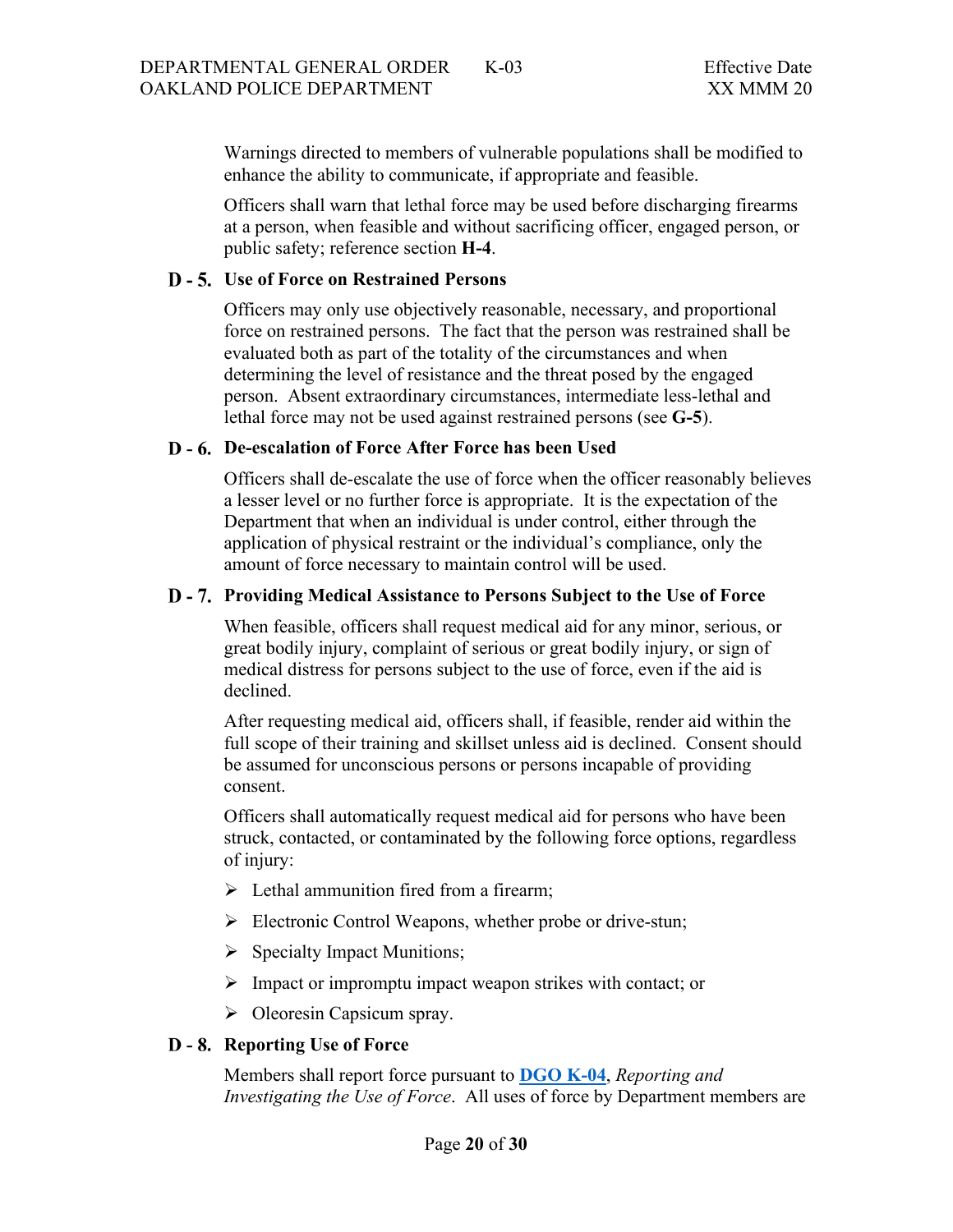Warnings directed to members of vulnerable populations shall be modified to enhance the ability to communicate, if appropriate and feasible.

Officers shall warn that lethal force may be used before discharging firearms at a person, when feasible and without sacrificing officer, engaged person, or public safety; reference section **H-4**.

#### <span id="page-19-0"></span>**Use of Force on Restrained Persons**

Officers may only use objectively reasonable, necessary, and proportional force on restrained persons. The fact that the person was restrained shall be evaluated both as part of the totality of the circumstances and when determining the level of resistance and the threat posed by the engaged person. Absent extraordinary circumstances, intermediate less-lethal and lethal force may not be used against restrained persons (see **G-5**).

#### <span id="page-19-1"></span>**De-escalation of Force After Force has been Used**

Officers shall de-escalate the use of force when the officer reasonably believes a lesser level or no further force is appropriate. It is the expectation of the Department that when an individual is under control, either through the application of physical restraint or the individual's compliance, only the amount of force necessary to maintain control will be used.

#### <span id="page-19-2"></span>**Providing Medical Assistance to Persons Subject to the Use of Force**

When feasible, officers shall request medical aid for any minor, serious, or great bodily injury, complaint of serious or great bodily injury, or sign of medical distress for persons subject to the use of force, even if the aid is declined.

After requesting medical aid, officers shall, if feasible, render aid within the full scope of their training and skillset unless aid is declined. Consent should be assumed for unconscious persons or persons incapable of providing consent.

Officers shall automatically request medical aid for persons who have been struck, contacted, or contaminated by the following force options, regardless of injury:

- $\triangleright$  Lethal ammunition fired from a firearm;
- Electronic Control Weapons, whether probe or drive-stun;
- $\triangleright$  Specialty Impact Munitions;
- $\triangleright$  Impact or impromptu impact weapon strikes with contact; or
- $\triangleright$  Oleoresin Capsicum spray.

#### <span id="page-19-3"></span>D - 8. Reporting Use of Force

Members shall report force pursuant to **[DGO K-04](https://powerdms.com/public/OAKLAND/tree/documents/416)**, *Reporting and Investigating the Use of Force*. All uses of force by Department members are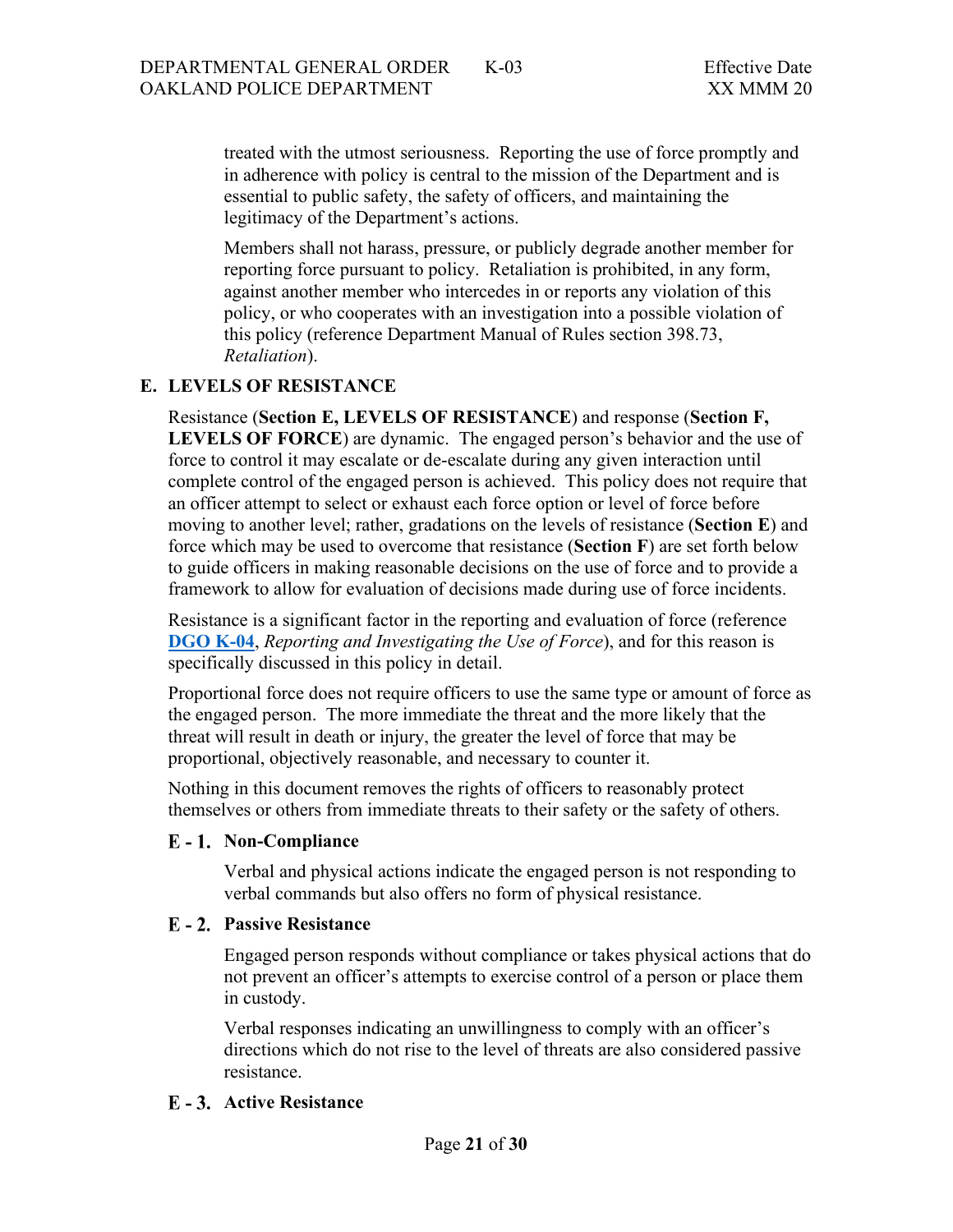treated with the utmost seriousness. Reporting the use of force promptly and in adherence with policy is central to the mission of the Department and is essential to public safety, the safety of officers, and maintaining the legitimacy of the Department's actions.

Members shall not harass, pressure, or publicly degrade another member for reporting force pursuant to policy. Retaliation is prohibited, in any form, against another member who intercedes in or reports any violation of this policy, or who cooperates with an investigation into a possible violation of this policy (reference Department Manual of Rules section 398.73, *Retaliation*).

# <span id="page-20-0"></span>**E. LEVELS OF RESISTANCE**

Resistance (**Section E, LEVELS OF RESISTANCE**) and response (**Section F, LEVELS OF FORCE**) are dynamic. The engaged person's behavior and the use of force to control it may escalate or de-escalate during any given interaction until complete control of the engaged person is achieved. This policy does not require that an officer attempt to select or exhaust each force option or level of force before moving to another level; rather, gradations on the levels of resistance (**Section E**) and force which may be used to overcome that resistance (**Section F**) are set forth below to guide officers in making reasonable decisions on the use of force and to provide a framework to allow for evaluation of decisions made during use of force incidents.

Resistance is a significant factor in the reporting and evaluation of force (reference **[DGO K-04](https://www.powerdms.com/public/OAKLAND/documents/416)**, *Reporting and Investigating the Use of Force*), and for this reason is specifically discussed in this policy in detail.

Proportional force does not require officers to use the same type or amount of force as the engaged person. The more immediate the threat and the more likely that the threat will result in death or injury, the greater the level of force that may be proportional, objectively reasonable, and necessary to counter it.

Nothing in this document removes the rights of officers to reasonably protect themselves or others from immediate threats to their safety or the safety of others.

#### <span id="page-20-1"></span>**Non-Compliance**

Verbal and physical actions indicate the engaged person is not responding to verbal commands but also offers no form of physical resistance.

#### <span id="page-20-2"></span>**E** - 2. Passive Resistance

Engaged person responds without compliance or takes physical actions that do not prevent an officer's attempts to exercise control of a person or place them in custody.

Verbal responses indicating an unwillingness to comply with an officer's directions which do not rise to the level of threats are also considered passive resistance.

#### <span id="page-20-3"></span>**Active Resistance**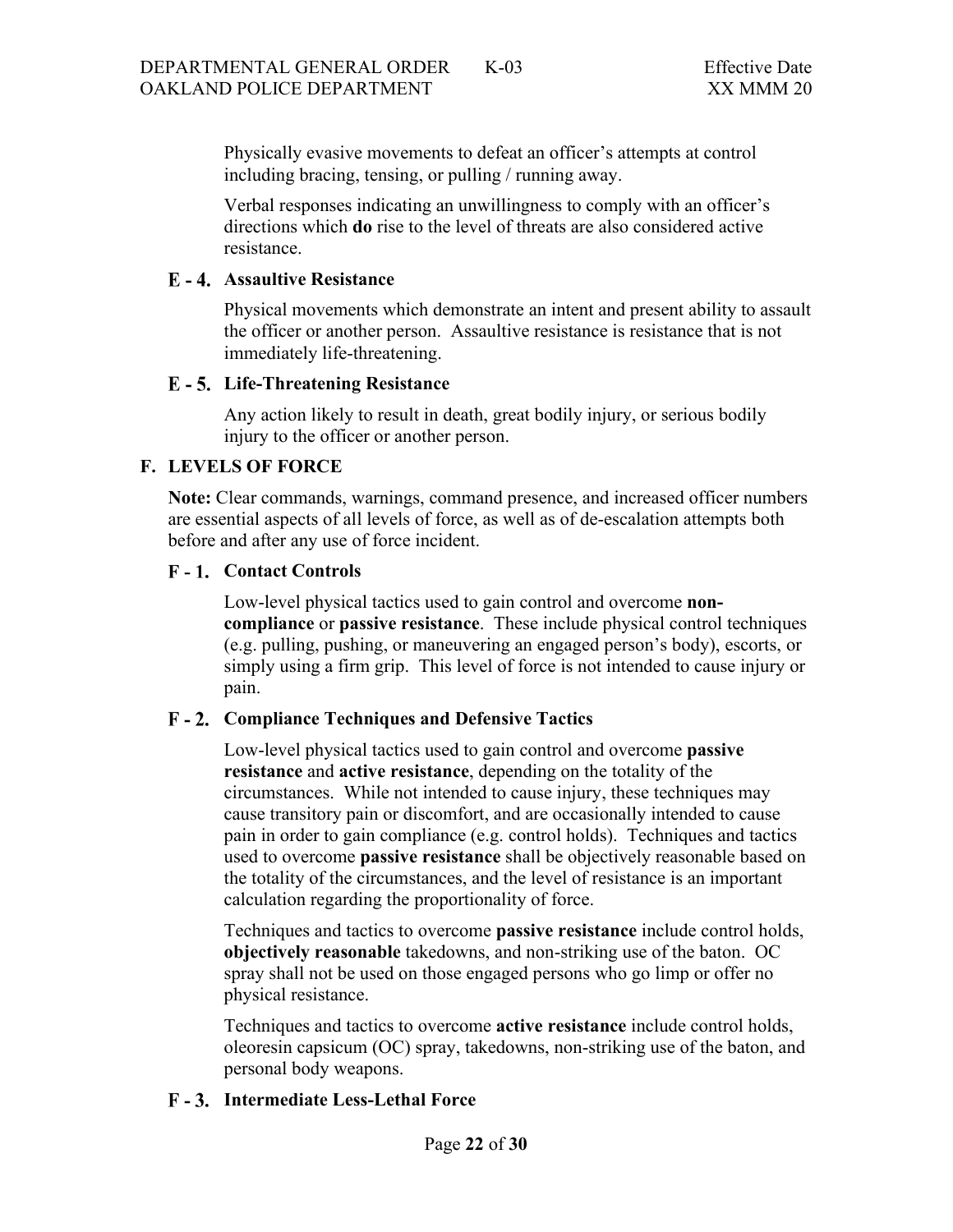Physically evasive movements to defeat an officer's attempts at control including bracing, tensing, or pulling / running away.

Verbal responses indicating an unwillingness to comply with an officer's directions which **do** rise to the level of threats are also considered active resistance.

### <span id="page-21-0"></span>**Assaultive Resistance**

Physical movements which demonstrate an intent and present ability to assault the officer or another person. Assaultive resistance is resistance that is not immediately life-threatening.

#### <span id="page-21-1"></span>**Life-Threatening Resistance**

Any action likely to result in death, great bodily injury, or serious bodily injury to the officer or another person.

# <span id="page-21-2"></span>**F. LEVELS OF FORCE**

**Note:** Clear commands, warnings, command presence, and increased officer numbers are essential aspects of all levels of force, as well as of de-escalation attempts both before and after any use of force incident.

### <span id="page-21-3"></span>**Contact Controls**

Low-level physical tactics used to gain control and overcome **noncompliance** or **passive resistance**. These include physical control techniques (e.g. pulling, pushing, or maneuvering an engaged person's body), escorts, or simply using a firm grip. This level of force is not intended to cause injury or pain.

# <span id="page-21-4"></span>**Compliance Techniques and Defensive Tactics**

Low-level physical tactics used to gain control and overcome **passive resistance** and **active resistance**, depending on the totality of the circumstances. While not intended to cause injury, these techniques may cause transitory pain or discomfort, and are occasionally intended to cause pain in order to gain compliance (e.g. control holds). Techniques and tactics used to overcome **passive resistance** shall be objectively reasonable based on the totality of the circumstances, and the level of resistance is an important calculation regarding the proportionality of force.

Techniques and tactics to overcome **passive resistance** include control holds, **objectively reasonable** takedowns, and non-striking use of the baton. OC spray shall not be used on those engaged persons who go limp or offer no physical resistance.

Techniques and tactics to overcome **active resistance** include control holds, oleoresin capsicum (OC) spray, takedowns, non-striking use of the baton, and personal body weapons.

# <span id="page-21-5"></span>**Intermediate Less-Lethal Force**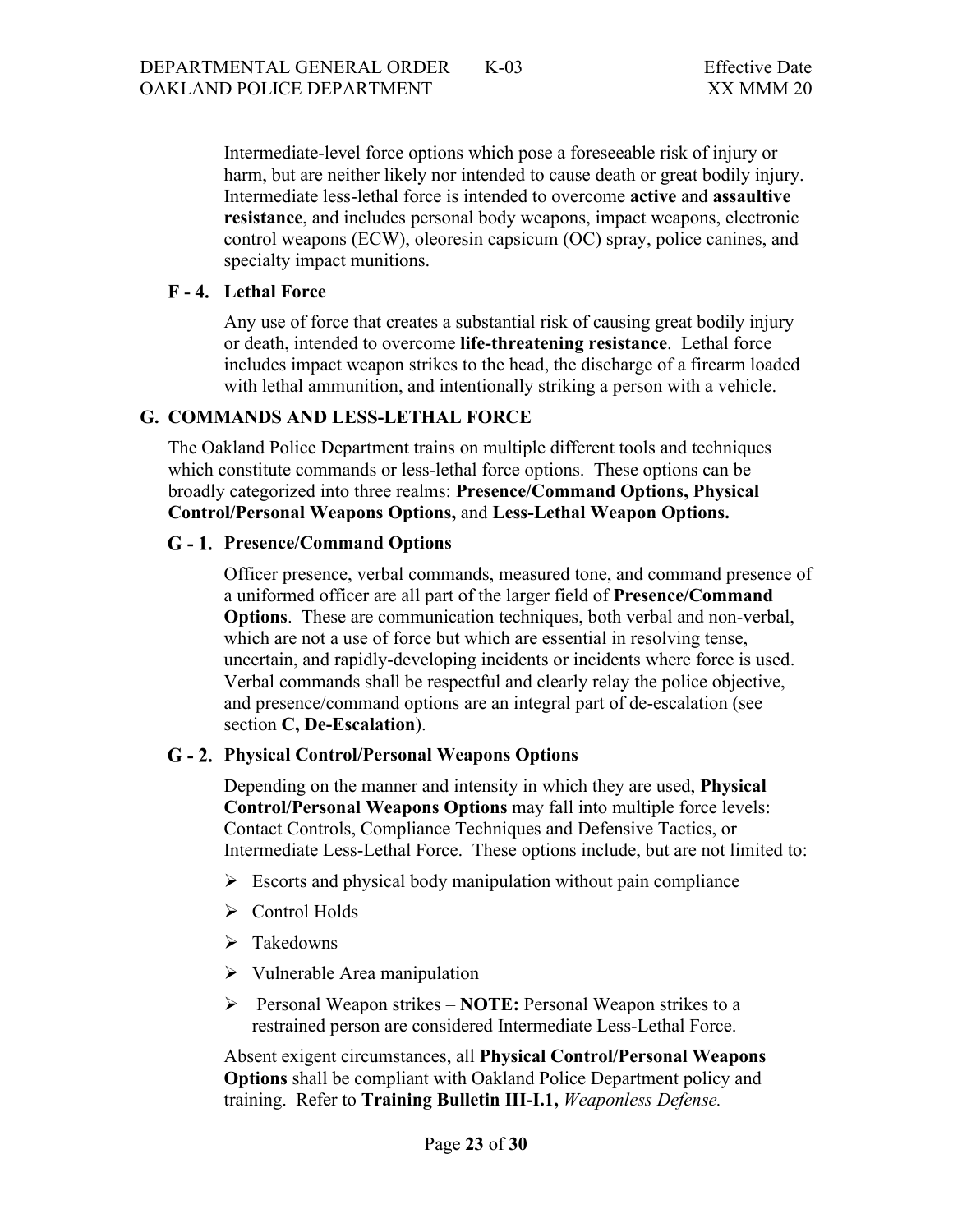Intermediate-level force options which pose a foreseeable risk of injury or harm, but are neither likely nor intended to cause death or great bodily injury. Intermediate less-lethal force is intended to overcome **active** and **assaultive resistance**, and includes personal body weapons, impact weapons, electronic control weapons (ECW), oleoresin capsicum (OC) spray, police canines, and specialty impact munitions.

### <span id="page-22-0"></span>**Lethal Force**

Any use of force that creates a substantial risk of causing great bodily injury or death, intended to overcome **life-threatening resistance**. Lethal force includes impact weapon strikes to the head, the discharge of a firearm loaded with lethal ammunition, and intentionally striking a person with a vehicle.

### <span id="page-22-1"></span>**G. COMMANDS AND LESS-LETHAL FORCE**

The Oakland Police Department trains on multiple different tools and techniques which constitute commands or less-lethal force options. These options can be broadly categorized into three realms: **Presence/Command Options, Physical Control/Personal Weapons Options,** and **Less-Lethal Weapon Options.**

### <span id="page-22-2"></span>**Presence/Command Options**

Officer presence, verbal commands, measured tone, and command presence of a uniformed officer are all part of the larger field of **Presence/Command Options**. These are communication techniques, both verbal and non-verbal, which are not a use of force but which are essential in resolving tense, uncertain, and rapidly-developing incidents or incidents where force is used. Verbal commands shall be respectful and clearly relay the police objective, and presence/command options are an integral part of de-escalation (see section **C, De-Escalation**).

#### <span id="page-22-3"></span>**Physical Control/Personal Weapons Options**

Depending on the manner and intensity in which they are used, **Physical Control/Personal Weapons Options** may fall into multiple force levels: Contact Controls, Compliance Techniques and Defensive Tactics, or Intermediate Less-Lethal Force. These options include, but are not limited to:

- $\triangleright$  Escorts and physical body manipulation without pain compliance
- Control Holds
- > Takedowns
- $\triangleright$  Vulnerable Area manipulation
- Personal Weapon strikes **NOTE:** Personal Weapon strikes to a restrained person are considered Intermediate Less-Lethal Force.

Absent exigent circumstances, all **Physical Control/Personal Weapons Options** shall be compliant with Oakland Police Department policy and training. Refer to **Training Bulletin III-I.1,** *Weaponless Defense.*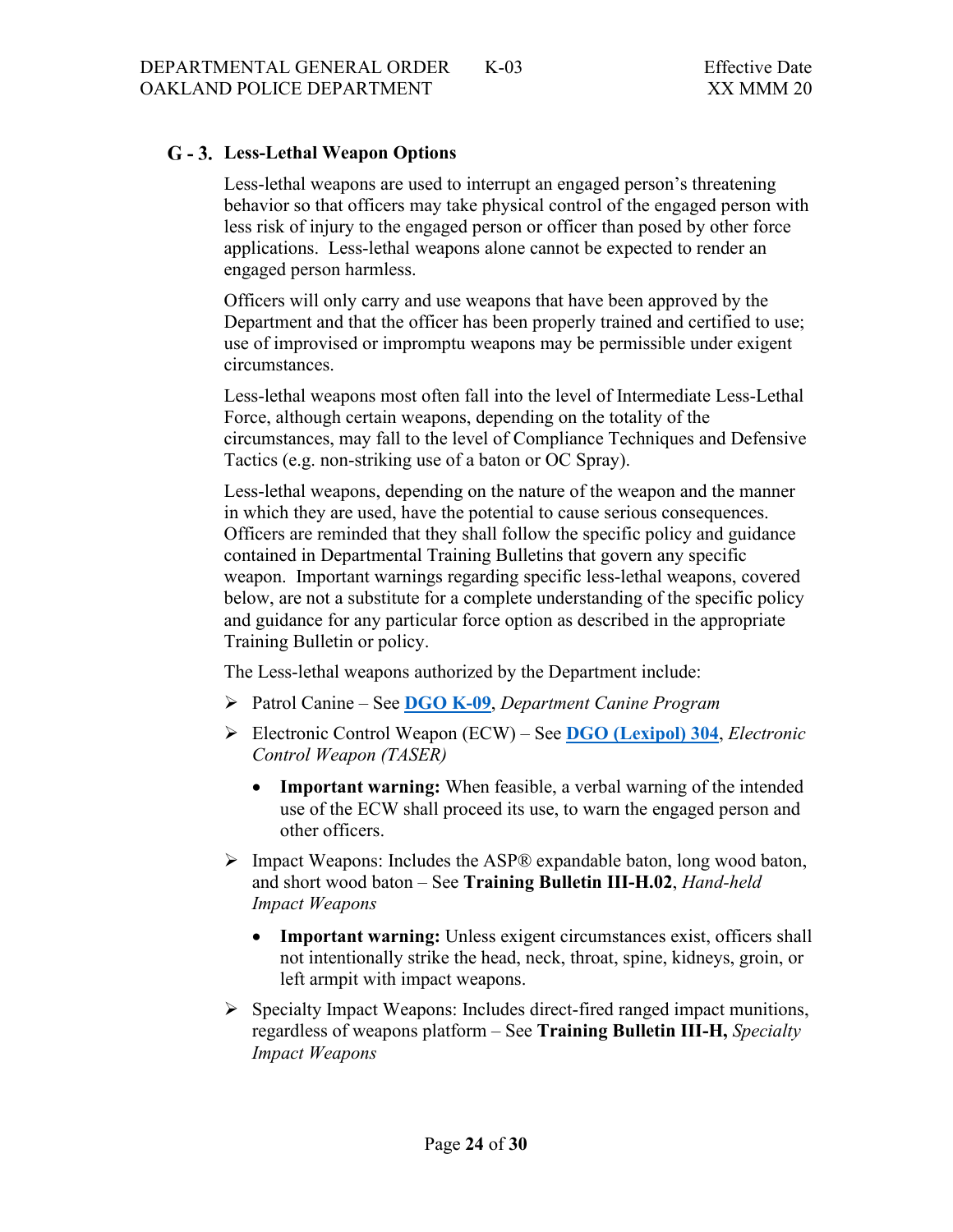# <span id="page-23-0"></span>**Less-Lethal Weapon Options**

Less-lethal weapons are used to interrupt an engaged person's threatening behavior so that officers may take physical control of the engaged person with less risk of injury to the engaged person or officer than posed by other force applications. Less-lethal weapons alone cannot be expected to render an engaged person harmless.

Officers will only carry and use weapons that have been approved by the Department and that the officer has been properly trained and certified to use; use of improvised or impromptu weapons may be permissible under exigent circumstances.

Less-lethal weapons most often fall into the level of Intermediate Less-Lethal Force, although certain weapons, depending on the totality of the circumstances, may fall to the level of Compliance Techniques and Defensive Tactics (e.g. non-striking use of a baton or OC Spray).

Less-lethal weapons, depending on the nature of the weapon and the manner in which they are used, have the potential to cause serious consequences. Officers are reminded that they shall follow the specific policy and guidance contained in Departmental Training Bulletins that govern any specific weapon. Important warnings regarding specific less-lethal weapons, covered below, are not a substitute for a complete understanding of the specific policy and guidance for any particular force option as described in the appropriate Training Bulletin or policy.

The Less-lethal weapons authorized by the Department include:

- Patrol Canine See **[DGO K-09](https://powerdms.com/public/OAKLAND/tree/documents/421)**, *Department Canine Program*
- Electronic Control Weapon (ECW) See **DGO [\(Lexipol\)](https://powerdms.com/public/OAKLAND/tree/documents/1134247) 304**, *Electronic Control Weapon (TASER)*
	- **Important warning:** When feasible, a verbal warning of the intended use of the ECW shall proceed its use, to warn the engaged person and other officers.
- $\triangleright$  Impact Weapons: Includes the ASP® expandable baton, long wood baton, and short wood baton – See **Training Bulletin III-H.02**, *Hand-held Impact Weapons*
	- **Important warning:** Unless exigent circumstances exist, officers shall not intentionally strike the head, neck, throat, spine, kidneys, groin, or left armpit with impact weapons.
- $\triangleright$  Specialty Impact Weapons: Includes direct-fired ranged impact munitions, regardless of weapons platform – See **Training Bulletin III-H,** *Specialty Impact Weapons*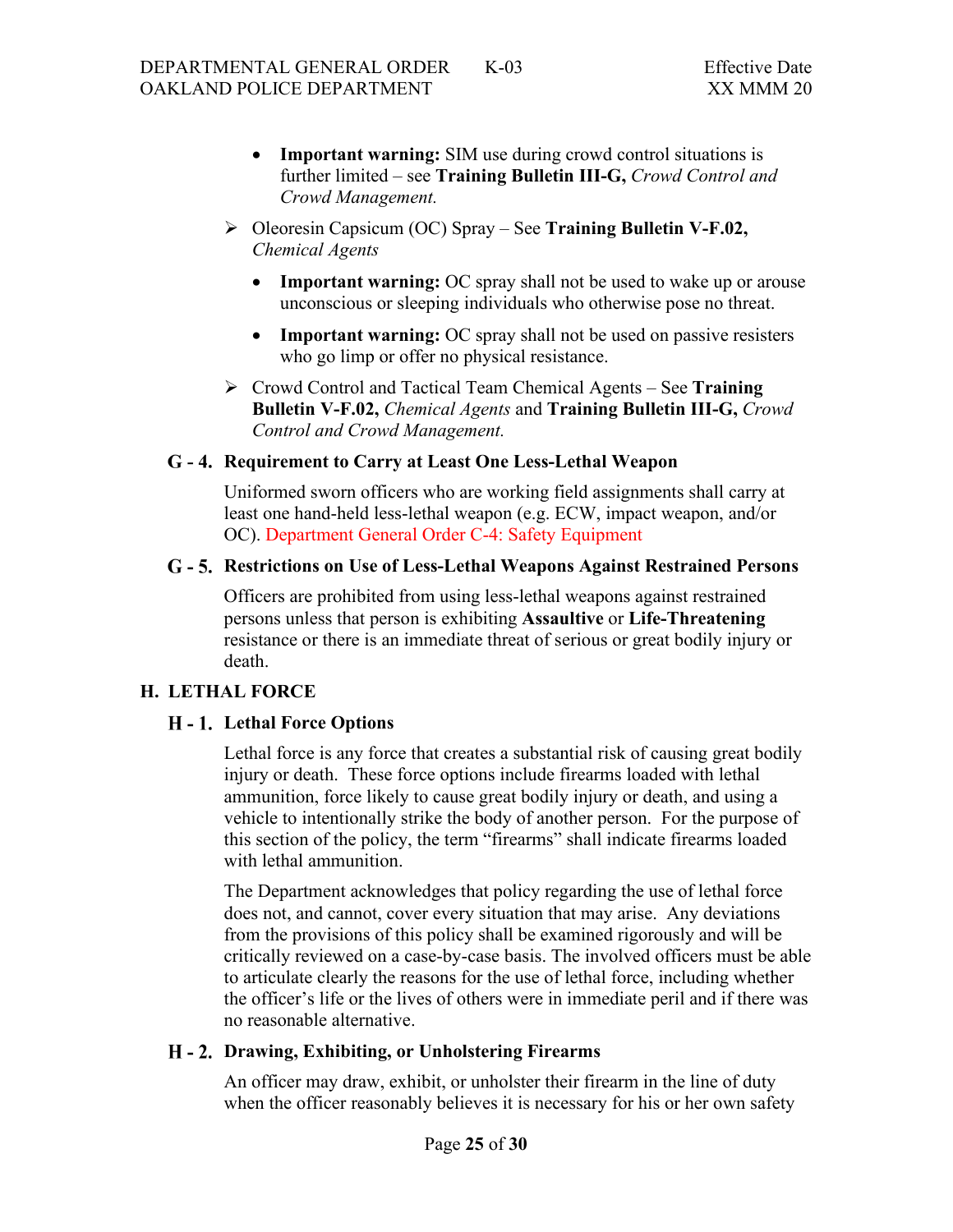- **Important warning:** SIM use during crowd control situations is further limited – see **Training Bulletin III-G,** *Crowd Control and Crowd Management.*
- Oleoresin Capsicum (OC) Spray See **Training Bulletin V-F.02,**  *Chemical Agents*
	- **Important warning:** OC spray shall not be used to wake up or arouse unconscious or sleeping individuals who otherwise pose no threat.
	- **Important warning:** OC spray shall not be used on passive resisters who go limp or offer no physical resistance.
- Crowd Control and Tactical Team Chemical Agents See **Training Bulletin V-F.02,** *Chemical Agents* and **Training Bulletin III-G,** *Crowd Control and Crowd Management.*

### <span id="page-24-0"></span>**Requirement to Carry at Least One Less-Lethal Weapon**

Uniformed sworn officers who are working field assignments shall carry at least one hand-held less-lethal weapon (e.g. ECW, impact weapon, and/or OC). Department General Order C-4: Safety Equipment

### <span id="page-24-1"></span>**Restrictions on Use of Less-Lethal Weapons Against Restrained Persons**

Officers are prohibited from using less-lethal weapons against restrained persons unless that person is exhibiting **Assaultive** or **Life-Threatening** resistance or there is an immediate threat of serious or great bodily injury or death.

# <span id="page-24-3"></span><span id="page-24-2"></span>**H. LETHAL FORCE**

# **Lethal Force Options**

Lethal force is any force that creates a substantial risk of causing great bodily injury or death. These force options include firearms loaded with lethal ammunition, force likely to cause great bodily injury or death, and using a vehicle to intentionally strike the body of another person. For the purpose of this section of the policy, the term "firearms" shall indicate firearms loaded with lethal ammunition.

The Department acknowledges that policy regarding the use of lethal force does not, and cannot, cover every situation that may arise. Any deviations from the provisions of this policy shall be examined rigorously and will be critically reviewed on a case-by-case basis. The involved officers must be able to articulate clearly the reasons for the use of lethal force, including whether the officer's life or the lives of others were in immediate peril and if there was no reasonable alternative.

#### <span id="page-24-4"></span>**Drawing, Exhibiting, or Unholstering Firearms**

An officer may draw, exhibit, or unholster their firearm in the line of duty when the officer reasonably believes it is necessary for his or her own safety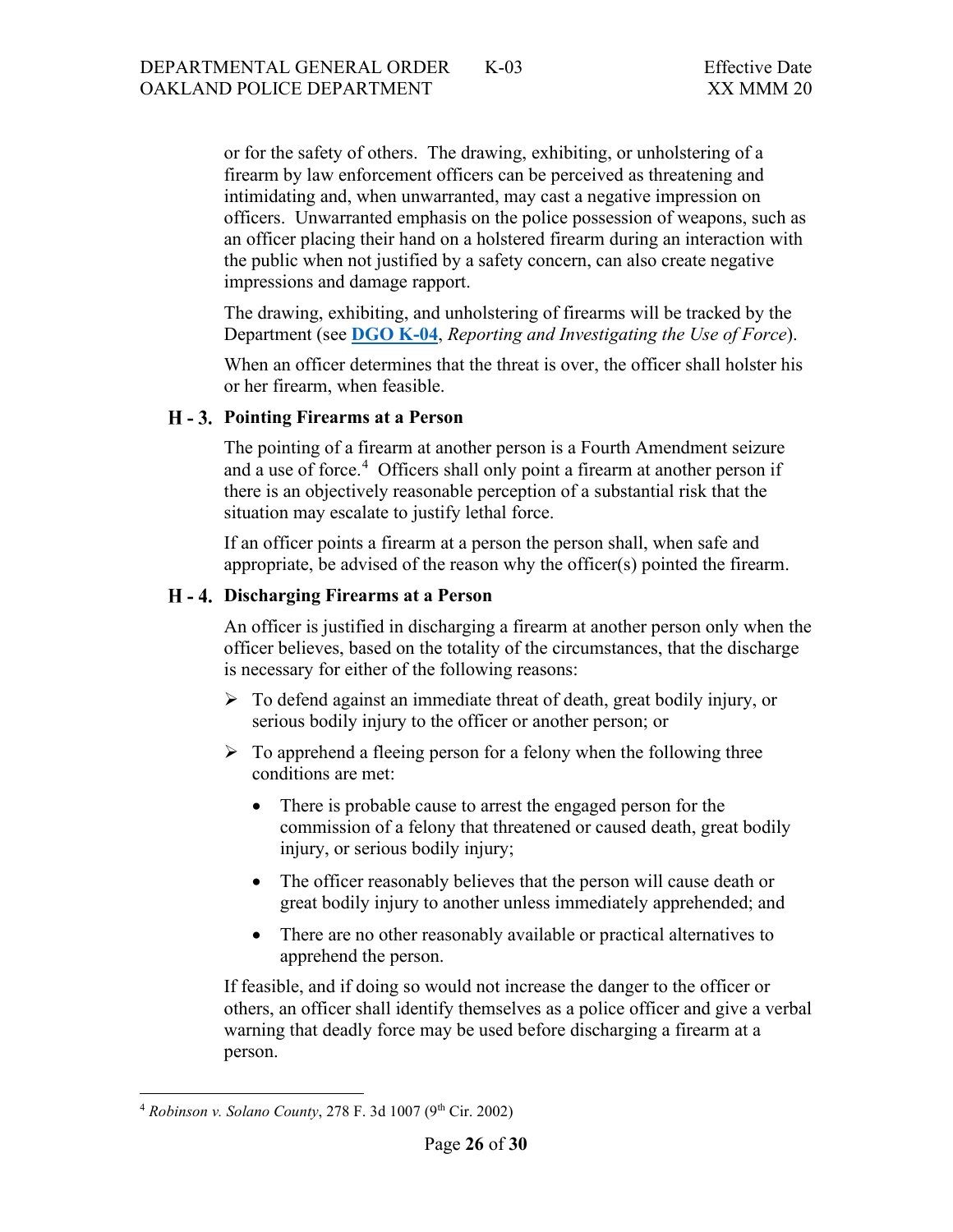or for the safety of others. The drawing, exhibiting, or unholstering of a firearm by law enforcement officers can be perceived as threatening and intimidating and, when unwarranted, may cast a negative impression on officers. Unwarranted emphasis on the police possession of weapons, such as an officer placing their hand on a holstered firearm during an interaction with the public when not justified by a safety concern, can also create negative impressions and damage rapport.

The drawing, exhibiting, and unholstering of firearms will be tracked by the Department (see **[DGO K-04](https://powerdms.com/public/OAKLAND/tree/documents/416)**, *Reporting and Investigating the Use of Force*).

When an officer determines that the threat is over, the officer shall holster his or her firearm, when feasible.

#### <span id="page-25-0"></span>**H** - 3. Pointing Firearms at a Person

The pointing of a firearm at another person is a Fourth Amendment seizure and a use of force.<sup>[4](#page-25-2)</sup> Officers shall only point a firearm at another person if there is an objectively reasonable perception of a substantial risk that the situation may escalate to justify lethal force.

If an officer points a firearm at a person the person shall, when safe and appropriate, be advised of the reason why the officer(s) pointed the firearm.

### <span id="page-25-1"></span>**Discharging Firearms at a Person**

An officer is justified in discharging a firearm at another person only when the officer believes, based on the totality of the circumstances, that the discharge is necessary for either of the following reasons:

- $\triangleright$  To defend against an immediate threat of death, great bodily injury, or serious bodily injury to the officer or another person; or
- $\triangleright$  To apprehend a fleeing person for a felony when the following three conditions are met:
	- There is probable cause to arrest the engaged person for the commission of a felony that threatened or caused death, great bodily injury, or serious bodily injury;
	- The officer reasonably believes that the person will cause death or great bodily injury to another unless immediately apprehended; and
	- There are no other reasonably available or practical alternatives to apprehend the person.

If feasible, and if doing so would not increase the danger to the officer or others, an officer shall identify themselves as a police officer and give a verbal warning that deadly force may be used before discharging a firearm at a person.

<span id="page-25-2"></span><sup>4</sup> *Robinson v. Solano County*, 278 F. 3d 1007 (9th Cir. 2002)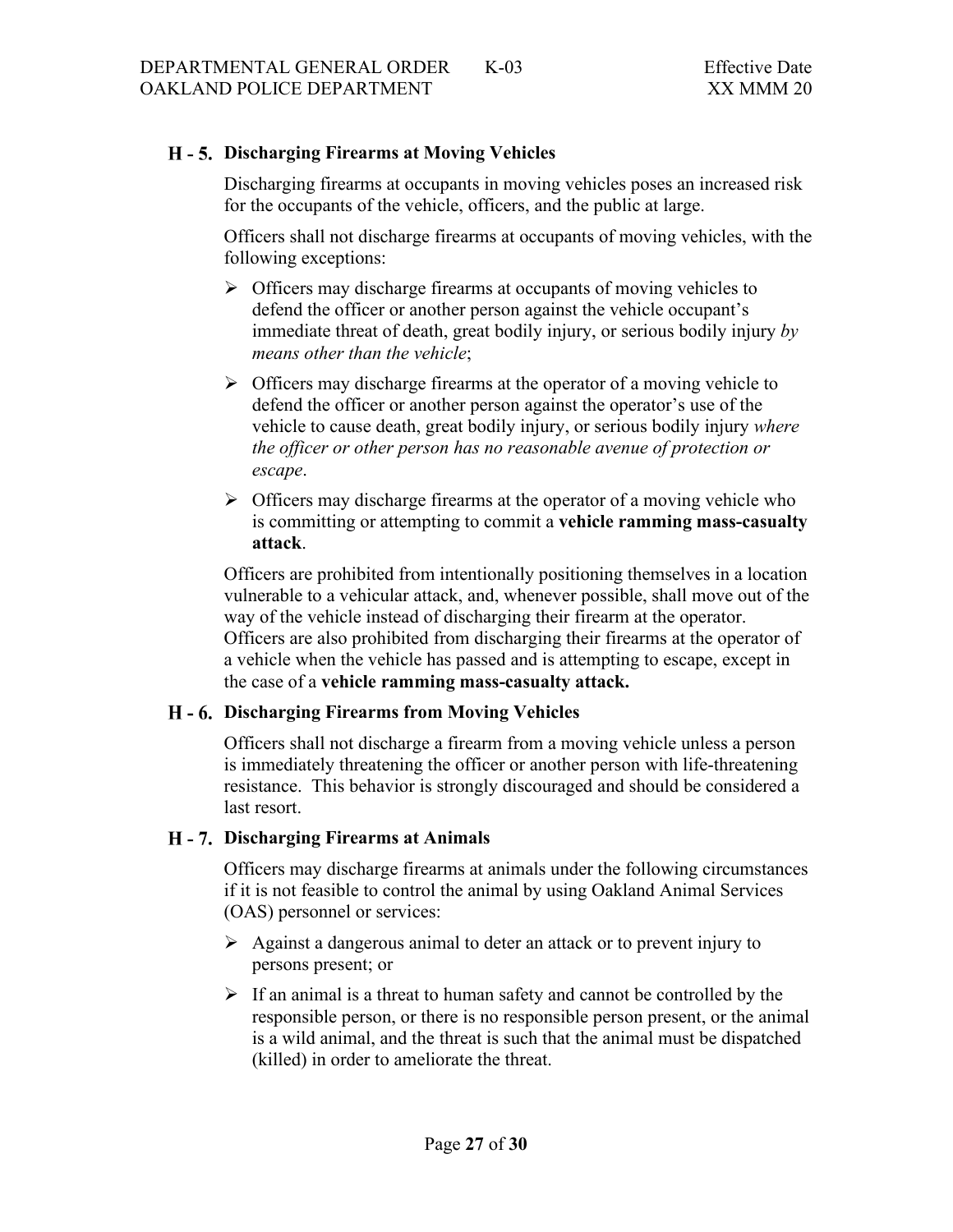# <span id="page-26-0"></span>**Discharging Firearms at Moving Vehicles**

Discharging firearms at occupants in moving vehicles poses an increased risk for the occupants of the vehicle, officers, and the public at large.

Officers shall not discharge firearms at occupants of moving vehicles, with the following exceptions:

- $\triangleright$  Officers may discharge firearms at occupants of moving vehicles to defend the officer or another person against the vehicle occupant's immediate threat of death, great bodily injury, or serious bodily injury *by means other than the vehicle*;
- $\triangleright$  Officers may discharge firearms at the operator of a moving vehicle to defend the officer or another person against the operator's use of the vehicle to cause death, great bodily injury, or serious bodily injury *where the officer or other person has no reasonable avenue of protection or escape*.
- $\triangleright$  Officers may discharge firearms at the operator of a moving vehicle who is committing or attempting to commit a **vehicle ramming mass-casualty attack**.

Officers are prohibited from intentionally positioning themselves in a location vulnerable to a vehicular attack, and, whenever possible, shall move out of the way of the vehicle instead of discharging their firearm at the operator. Officers are also prohibited from discharging their firearms at the operator of a vehicle when the vehicle has passed and is attempting to escape, except in the case of a **vehicle ramming mass-casualty attack.**

# <span id="page-26-1"></span>**Discharging Firearms from Moving Vehicles**

Officers shall not discharge a firearm from a moving vehicle unless a person is immediately threatening the officer or another person with life-threatening resistance. This behavior is strongly discouraged and should be considered a last resort.

#### <span id="page-26-2"></span>**Discharging Firearms at Animals**

Officers may discharge firearms at animals under the following circumstances if it is not feasible to control the animal by using Oakland Animal Services (OAS) personnel or services:

- $\triangleright$  Against a dangerous animal to deter an attack or to prevent injury to persons present; or
- $\triangleright$  If an animal is a threat to human safety and cannot be controlled by the responsible person, or there is no responsible person present, or the animal is a wild animal, and the threat is such that the animal must be dispatched (killed) in order to ameliorate the threat.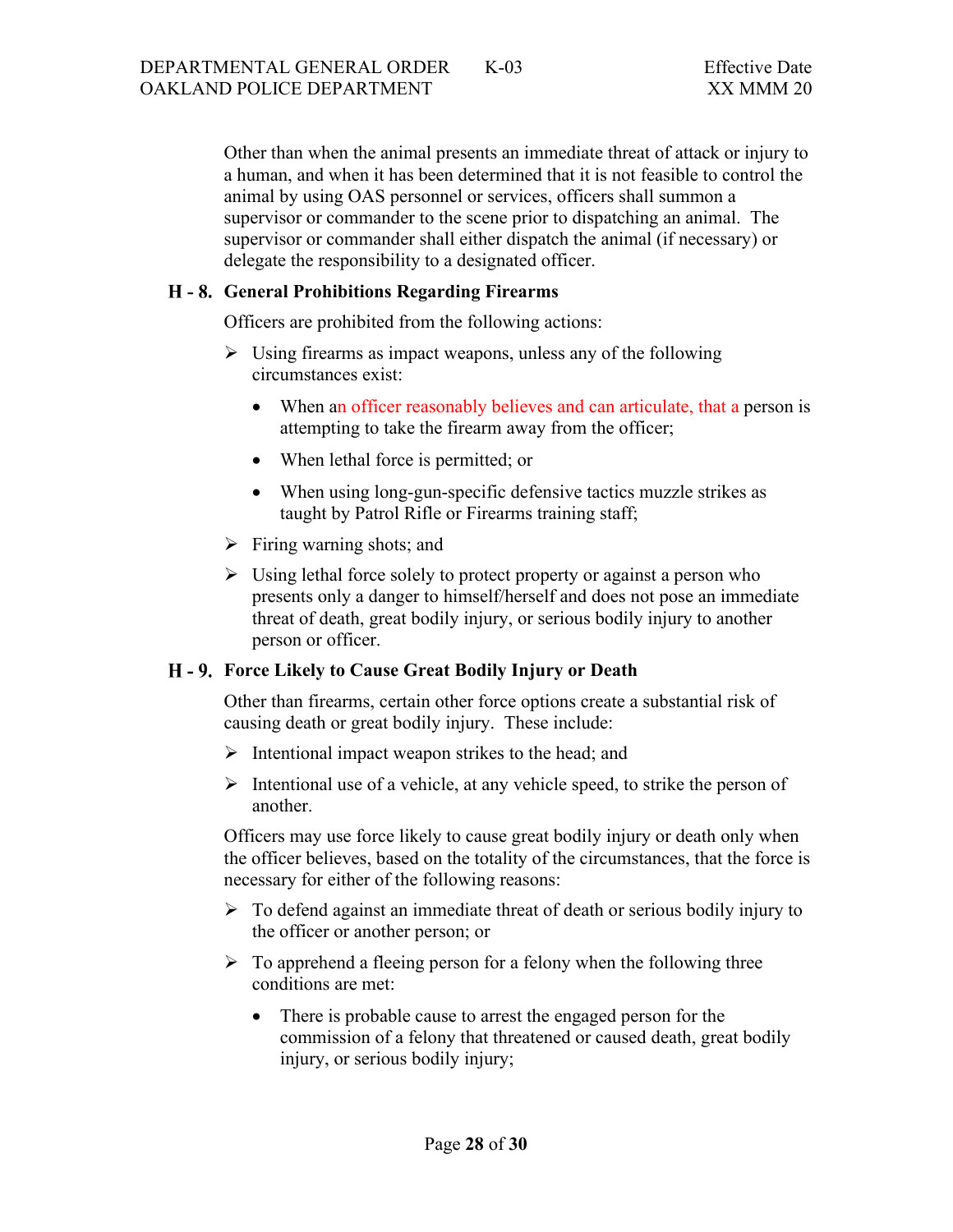Other than when the animal presents an immediate threat of attack or injury to a human, and when it has been determined that it is not feasible to control the animal by using OAS personnel or services, officers shall summon a supervisor or commander to the scene prior to dispatching an animal. The supervisor or commander shall either dispatch the animal (if necessary) or delegate the responsibility to a designated officer.

### <span id="page-27-0"></span>**General Prohibitions Regarding Firearms**

Officers are prohibited from the following actions:

- $\triangleright$  Using firearms as impact weapons, unless any of the following circumstances exist:
	- When an officer reasonably believes and can articulate, that a person is attempting to take the firearm away from the officer;
	- When lethal force is permitted; or
	- When using long-gun-specific defensive tactics muzzle strikes as taught by Patrol Rifle or Firearms training staff;
- $\triangleright$  Firing warning shots; and
- $\triangleright$  Using lethal force solely to protect property or against a person who presents only a danger to himself/herself and does not pose an immediate threat of death, great bodily injury, or serious bodily injury to another person or officer.

# <span id="page-27-1"></span>**Force Likely to Cause Great Bodily Injury or Death**

Other than firearms, certain other force options create a substantial risk of causing death or great bodily injury. These include:

- $\triangleright$  Intentional impact weapon strikes to the head; and
- $\triangleright$  Intentional use of a vehicle, at any vehicle speed, to strike the person of another.

Officers may use force likely to cause great bodily injury or death only when the officer believes, based on the totality of the circumstances, that the force is necessary for either of the following reasons:

- $\triangleright$  To defend against an immediate threat of death or serious bodily injury to the officer or another person; or
- $\triangleright$  To apprehend a fleeing person for a felony when the following three conditions are met:
	- There is probable cause to arrest the engaged person for the commission of a felony that threatened or caused death, great bodily injury, or serious bodily injury;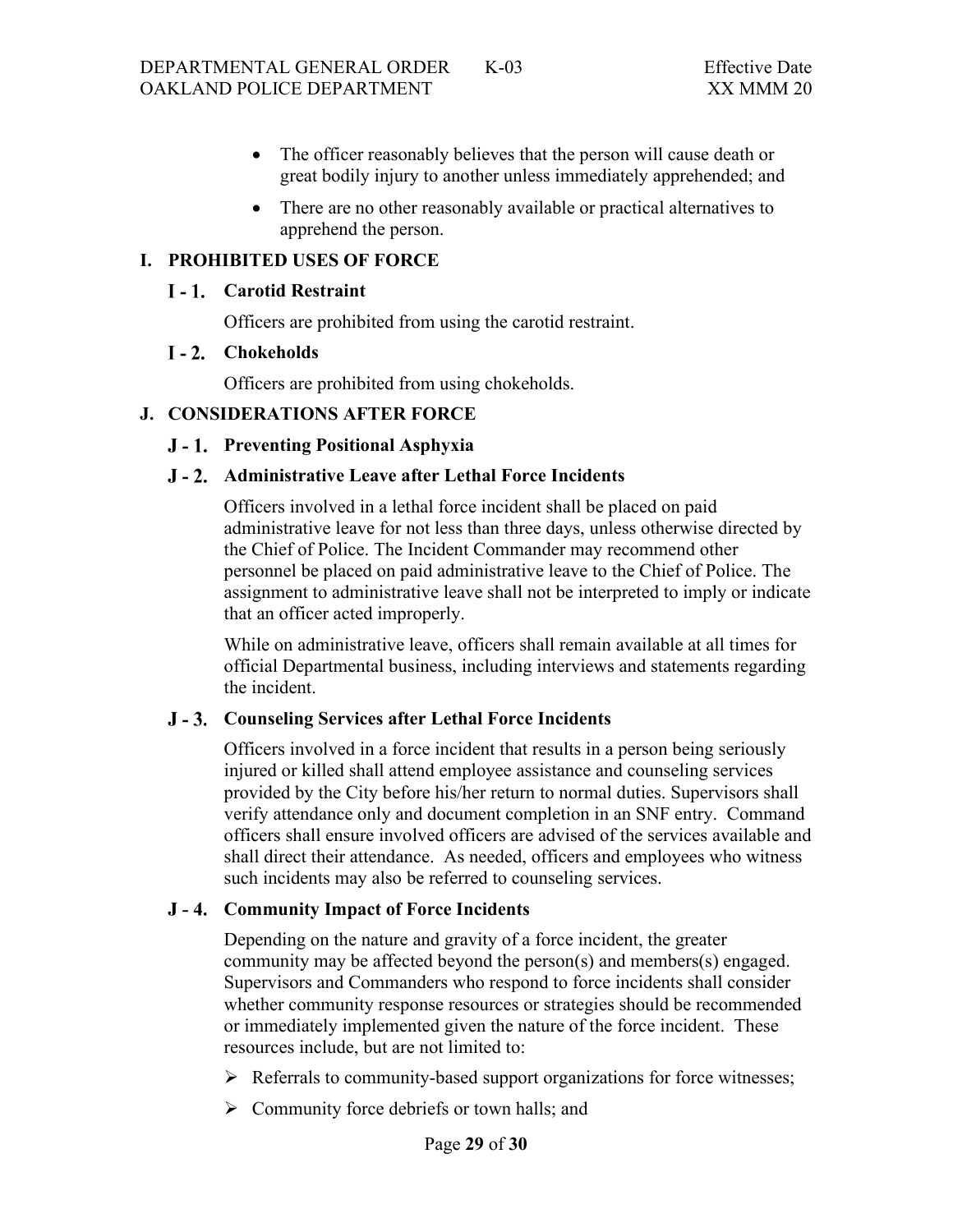- The officer reasonably believes that the person will cause death or great bodily injury to another unless immediately apprehended; and
- There are no other reasonably available or practical alternatives to apprehend the person.

## <span id="page-28-1"></span><span id="page-28-0"></span>**I. PROHIBITED USES OF FORCE**

#### **Carotid Restraint**

Officers are prohibited from using the carotid restraint.

#### <span id="page-28-2"></span>**Chokeholds**

Officers are prohibited from using chokeholds.

### <span id="page-28-4"></span><span id="page-28-3"></span>**J. CONSIDERATIONS AFTER FORCE**

### **Preventing Positional Asphyxia**

### <span id="page-28-5"></span>**Administrative Leave after Lethal Force Incidents**

Officers involved in a lethal force incident shall be placed on paid administrative leave for not less than three days, unless otherwise directed by the Chief of Police. The Incident Commander may recommend other personnel be placed on paid administrative leave to the Chief of Police. The assignment to administrative leave shall not be interpreted to imply or indicate that an officer acted improperly.

While on administrative leave, officers shall remain available at all times for official Departmental business, including interviews and statements regarding the incident.

#### <span id="page-28-6"></span>**Counseling Services after Lethal Force Incidents**

Officers involved in a force incident that results in a person being seriously injured or killed shall attend employee assistance and counseling services provided by the City before his/her return to normal duties. Supervisors shall verify attendance only and document completion in an SNF entry. Command officers shall ensure involved officers are advised of the services available and shall direct their attendance. As needed, officers and employees who witness such incidents may also be referred to counseling services.

#### **Community Impact of Force Incidents**

Depending on the nature and gravity of a force incident, the greater community may be affected beyond the person(s) and members(s) engaged. Supervisors and Commanders who respond to force incidents shall consider whether community response resources or strategies should be recommended or immediately implemented given the nature of the force incident. These resources include, but are not limited to:

- $\triangleright$  Referrals to community-based support organizations for force witnesses;
- $\triangleright$  Community force debriefs or town halls; and